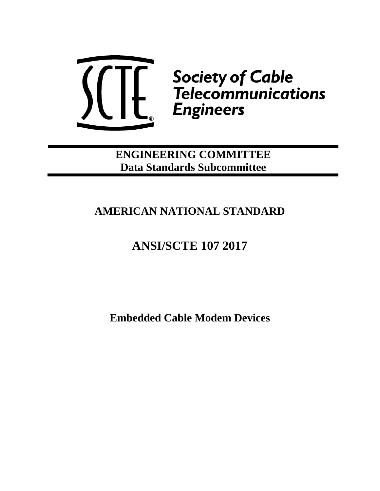

**ENGINEERING COMMITTEE Data Standards Subcommittee**

## **AMERICAN NATIONAL STANDARD**

# **ANSI/SCTE 107 2017**

**Embedded Cable Modem Devices**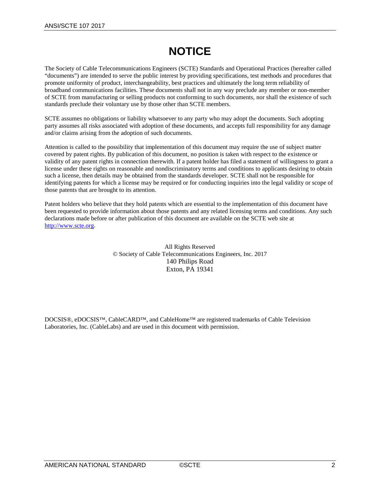## **NOTICE**

The Society of Cable Telecommunications Engineers (SCTE) Standards and Operational Practices (hereafter called "documents") are intended to serve the public interest by providing specifications, test methods and procedures that promote uniformity of product, interchangeability, best practices and ultimately the long term reliability of broadband communications facilities. These documents shall not in any way preclude any member or non-member of SCTE from manufacturing or selling products not conforming to such documents, nor shall the existence of such standards preclude their voluntary use by those other than SCTE members.

SCTE assumes no obligations or liability whatsoever to any party who may adopt the documents. Such adopting party assumes all risks associated with adoption of these documents, and accepts full responsibility for any damage and/or claims arising from the adoption of such documents.

Attention is called to the possibility that implementation of this document may require the use of subject matter covered by patent rights. By publication of this document, no position is taken with respect to the existence or validity of any patent rights in connection therewith. If a patent holder has filed a statement of willingness to grant a license under these rights on reasonable and nondiscriminatory terms and conditions to applicants desiring to obtain such a license, then details may be obtained from the standards developer. SCTE shall not be responsible for identifying patents for which a license may be required or for conducting inquiries into the legal validity or scope of those patents that are brought to its attention.

Patent holders who believe that they hold patents which are essential to the implementation of this document have been requested to provide information about those patents and any related licensing terms and conditions. Any such declarations made before or after publication of this document are available on the SCTE web site at [http://www.scte.org.](http://www.scte.org/)

> All Rights Reserved © Society of Cable Telecommunications Engineers, Inc. 2017 140 Philips Road Exton, PA 19341

DOCSIS®, eDOCSIS™, CableCARD™, and CableHome™ are registered trademarks of Cable Television Laboratories, Inc. (CableLabs) and are used in this document with permission.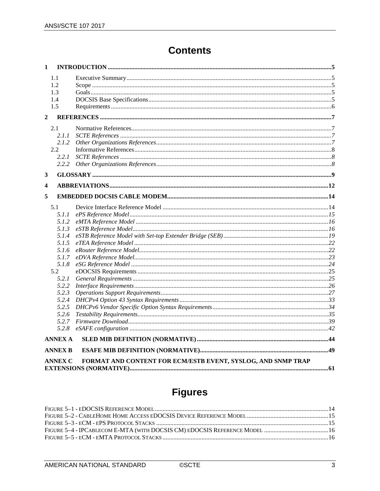## **Contents**

| $\mathbf{1}$            |                |                                                              |  |
|-------------------------|----------------|--------------------------------------------------------------|--|
|                         | 1.1<br>1.2     |                                                              |  |
|                         | 1.3            |                                                              |  |
|                         | 1.4            |                                                              |  |
|                         | 1.5            |                                                              |  |
| $\mathbf{2}$            |                |                                                              |  |
|                         | 2.1            |                                                              |  |
|                         | 2.1.1          |                                                              |  |
|                         | 2.1.2          |                                                              |  |
|                         | 2.2            |                                                              |  |
|                         | 2.2.1          |                                                              |  |
|                         | 2.2.2          |                                                              |  |
| 3                       |                |                                                              |  |
| $\overline{\mathbf{4}}$ |                |                                                              |  |
| 5                       |                |                                                              |  |
|                         |                |                                                              |  |
|                         | 5.1            |                                                              |  |
|                         | 5.1.1          |                                                              |  |
|                         | 5.1.2          |                                                              |  |
|                         | 5.1.3<br>5.1.4 |                                                              |  |
|                         | 5.1.5          |                                                              |  |
|                         | 5.1.6          |                                                              |  |
|                         | 5.1.7          |                                                              |  |
|                         | 5.1.8          |                                                              |  |
|                         | 5.2            |                                                              |  |
|                         | 5.2.1          |                                                              |  |
|                         | 5.2.2          |                                                              |  |
|                         | 5.2.3          |                                                              |  |
|                         | 5.2.4          |                                                              |  |
|                         | 5.2.5          |                                                              |  |
|                         | 5.2.6          |                                                              |  |
|                         | 5.2.7          |                                                              |  |
|                         | 5.2.8          |                                                              |  |
|                         | <b>ANNEX A</b> |                                                              |  |
|                         | <b>ANNEX B</b> |                                                              |  |
|                         | <b>ANNEX C</b> | FORMAT AND CONTENT FOR ECM/ESTB EVENT, SYSLOG, AND SNMP TRAP |  |
|                         |                |                                                              |  |

# **Figures**

| FIGURE 5-4 - IPCABLECOM E-MTA (WITH DOCSIS CM) EDOCSIS REFERENCE MODEL  16 |  |
|----------------------------------------------------------------------------|--|
|                                                                            |  |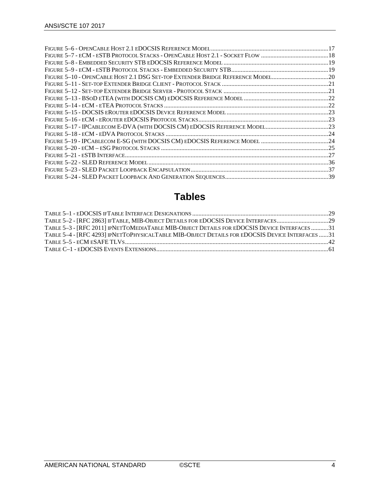| FIGURE 5-10 - OPENCABLE HOST 2.1 DSG SET-TOP EXTENDER BRIDGE REFERENCE MODEL20 |  |
|--------------------------------------------------------------------------------|--|
|                                                                                |  |
|                                                                                |  |
|                                                                                |  |
|                                                                                |  |
|                                                                                |  |
|                                                                                |  |
|                                                                                |  |
|                                                                                |  |
|                                                                                |  |
|                                                                                |  |
|                                                                                |  |
|                                                                                |  |
|                                                                                |  |
|                                                                                |  |

## **Tables**

| TABLE 5-2 - [RFC 2863] IFTABLE, MIB-OBJECT DETAILS FOR EDOCSIS DEVICE INTERFACES29              |  |
|-------------------------------------------------------------------------------------------------|--|
| TABLE 5-3 - [RFC 2011] IPNETTOMEDIATABLE MIB-OBJECT DETAILS FOR EDOCSIS DEVICE INTERFACES 31    |  |
| TABLE 5-4 - [RFC 4293] IPNETTOPHYSICALTABLE MIB-OBJECT DETAILS FOR EDOCSIS DEVICE INTERFACES 31 |  |
|                                                                                                 |  |
|                                                                                                 |  |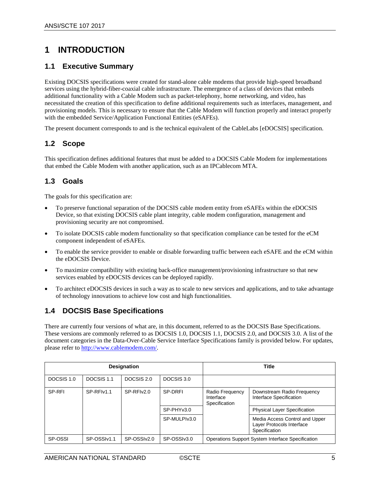### <span id="page-4-0"></span>**1 INTRODUCTION**

### <span id="page-4-1"></span>**1.1 Executive Summary**

Existing DOCSIS specifications were created for stand-alone cable modems that provide high-speed broadband services using the hybrid-fiber-coaxial cable infrastructure. The emergence of a class of devices that embeds additional functionality with a Cable Modem such as packet-telephony, home networking, and video, has necessitated the creation of this specification to define additional requirements such as interfaces, management, and provisioning models. This is necessary to ensure that the Cable Modem will function properly and interact properly with the embedded Service/Application Functional Entities (eSAFEs).

The present document corresponds to and is the technical equivalent of the CableLabs [\[eDOCSIS\]](#page-7-3) specification.

#### <span id="page-4-2"></span>**1.2 Scope**

This specification defines additional features that must be added to a DOCSIS Cable Modem for implementations that embed the Cable Modem with another application, such as an IPCablecom MTA.

#### <span id="page-4-3"></span>**1.3 Goals**

The goals for this specification are:

- To preserve functional separation of the DOCSIS cable modem entity from eSAFEs within the eDOCSIS Device, so that existing DOCSIS cable plant integrity, cable modem configuration, management and provisioning security are not compromised.
- To isolate DOCSIS cable modem functionality so that specification compliance can be tested for the eCM component independent of eSAFEs.
- To enable the service provider to enable or disable forwarding traffic between each eSAFE and the eCM within the eDOCSIS Device.
- To maximize compatibility with existing back-office management/provisioning infrastructure so that new services enabled by eDOCSIS devices can be deployed rapidly.
- To architect eDOCSIS devices in such a way as to scale to new services and applications, and to take advantage of technology innovations to achieve low cost and high functionalities.

#### <span id="page-4-4"></span>**1.4 DOCSIS Base Specifications**

There are currently four versions of what are, in this document, referred to as the DOCSIS Base Specifications. These versions are commonly referred to as DOCSIS 1.0, DOCSIS 1.1, DOCSIS 2.0, and DOCSIS 3.0. A list of the document categories in the Data-Over-Cable Service Interface Specifications family is provided below. For updates, please refer to [http://www.cablemodem.com/.](http://www.cablemodem.com/)

| <b>Designation</b> |             |             |              |                                               | Title                                                                        |
|--------------------|-------------|-------------|--------------|-----------------------------------------------|------------------------------------------------------------------------------|
| DOCSIS 1.0         | DOCSIS 1.1  | DOCSIS 2.0  | DOCSIS 3.0   |                                               |                                                                              |
| SP-RFI             | SP-RFIv1.1  | SP-RFIv2.0  | SP-DRFI      | Radio Frequency<br>Interface<br>Specification | Downstream Radio Frequency<br>Interface Specification                        |
|                    |             |             | SP-PHYv3.0   |                                               | <b>Physical Layer Specification</b>                                          |
|                    |             |             | SP-MULPIv3.0 |                                               | Media Access Control and Upper<br>Layer Protocols Interface<br>Specification |
| SP-OSSI            | SP-OSSIv1.1 | SP-OSSIv2.0 | SP-OSSIv3.0  |                                               | Operations Support System Interface Specification                            |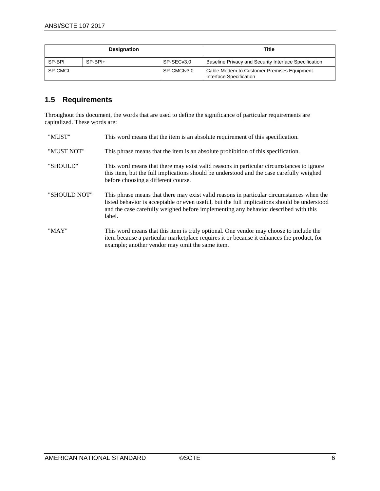| <b>Designation</b> |         | Title                  |                                                                       |
|--------------------|---------|------------------------|-----------------------------------------------------------------------|
| SP-BPI             | SP-BPI+ | SP-SEC <sub>v3.0</sub> | Baseline Privacy and Security Interface Specification                 |
| SP-CMCI            |         | SP-CMCIv3.0            | Cable Modem to Customer Premises Equipment<br>Interface Specification |

### <span id="page-5-0"></span>**1.5 Requirements**

Throughout this document, the words that are used to define the significance of particular requirements are capitalized. These words are:

| "MUST"       | This word means that the item is an absolute requirement of this specification.                                                                                                                                                                                                            |
|--------------|--------------------------------------------------------------------------------------------------------------------------------------------------------------------------------------------------------------------------------------------------------------------------------------------|
| "MUST NOT"   | This phrase means that the item is an absolute prohibition of this specification.                                                                                                                                                                                                          |
| "SHOULD"     | This word means that there may exist valid reasons in particular circumstances to ignore<br>this item, but the full implications should be understood and the case carefully weighed<br>before choosing a different course.                                                                |
| "SHOULD NOT" | This phrase means that there may exist valid reasons in particular circumstances when the<br>listed behavior is acceptable or even useful, but the full implications should be understood<br>and the case carefully weighed before implementing any behavior described with this<br>label. |
| "MAY"        | This word means that this item is truly optional. One vendor may choose to include the<br>item because a particular marketplace requires it or because it enhances the product, for<br>example; another vendor may omit the same item.                                                     |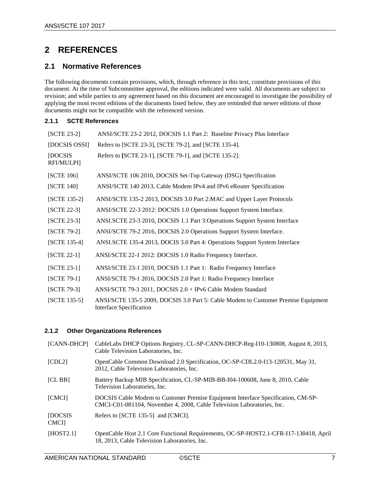### <span id="page-6-0"></span>**2 REFERENCES**

### <span id="page-6-1"></span>**2.1 Normative References**

The following documents contain provisions, which, through reference in this text, constitute provisions of this document. At the time of Subcommittee approval, the editions indicated were valid. All documents are subject to revision; and while parties to any agreement based on this document are encouraged to investigate the possibility of applying the most recent editions of the documents listed below, they are reminded that newer editions of those documents might not be compatible with the referenced version.

#### <span id="page-6-2"></span>**2.1.1 SCTE References**

<span id="page-6-21"></span><span id="page-6-16"></span><span id="page-6-15"></span><span id="page-6-13"></span><span id="page-6-12"></span><span id="page-6-9"></span><span id="page-6-5"></span><span id="page-6-4"></span>

| [SCTE 23-2]            | ANSI/SCTE 23-2 2012, DOCSIS 1.1 Part 2: Baseline Privacy Plus Interface                                       |
|------------------------|---------------------------------------------------------------------------------------------------------------|
| [DOCSIS OSSI]          | Refers to [SCTE 23-3], [SCTE 79-2], and [SCTE 135-4].                                                         |
| [DOCSIS]<br>RFI/MULPI] | Refers to [SCTE 23-1], [SCTE 79-1], and [SCTE 135-2].                                                         |
| [SCTE 106]             | ANSI/SCTE 106 2010, DOCSIS Set-Top Gateway (DSG) Specification                                                |
| [SCTE 140]             | ANSI/SCTE 140 2013, Cable Modem IPv4 and IPv6 eRouter Specification                                           |
| [SCTE 135-2]           | ANSI/SCTE 135-2 2013, DOCSIS 3.0 Part 2:MAC and Upper Layer Protocols                                         |
| $[SCTE 22-3]$          | ANSI/SCTE 22-3 2012: DOCSIS 1.0 Operations Support System Interface.                                          |
| $[SCTE 23-3]$          | ANSI.SCTE 23-3 2010, DOCSIS 1.1 Part 3:Operations Support System Interface                                    |
| $[SCTE 79-2]$          | ANSI/SCTE 79-2 2016, DOCSIS 2.0 Operations Support System Interface.                                          |
| [SCTE 135-4]           | ANSI.SCTE 135-4 2013, DOCIS 3.0 Part 4: Operations Support System Interface                                   |
| [SCTE 22-1]            | ANSI/SCTE 22-1 2012: DOCSIS 1.0 Radio Frequency Interface.                                                    |
| $[SCTE 23-1]$          | ANSI/SCTE 23-1 2010, DOCSIS 1.1 Part 1: Radio Frequency Interface                                             |
| $[SCTE 79-1]$          | ANSI/SCTE 79-1 2016, DOCSIS 2.0 Part 1: Radio Frequency Interface                                             |
| $[SCTE 79-3]$          | ANSI/SCTE 79-3 2011, DOCSIS 2.0 + IPv6 Cable Modem Standard                                                   |
| $[SCTE 135-5]$         | ANSI/SCTE 135-5 2009, DOCSIS 3.0 Part 5: Cable Modem to Customer Premise Equipment<br>Interface Specification |

#### <span id="page-6-18"></span><span id="page-6-17"></span><span id="page-6-10"></span><span id="page-6-8"></span><span id="page-6-7"></span><span id="page-6-6"></span><span id="page-6-3"></span>**2.1.2 Other Organizations References**

<span id="page-6-22"></span><span id="page-6-20"></span><span id="page-6-19"></span><span id="page-6-14"></span><span id="page-6-11"></span>

| [CANN-DHCP]             | CableLabs DHCP Options Registry, CL-SP-CANN-DHCP-Reg-I10-130808, August 8, 2013,<br>Cable Television Laboratories, Inc.                                    |
|-------------------------|------------------------------------------------------------------------------------------------------------------------------------------------------------|
| [CDL2]                  | OpenCable Common Download 2.0 Specification, OC-SP-CDL2.0-I13-120531, May 31,<br>2012, Cable Television Laboratories, Inc.                                 |
| [CL BB]                 | Battery Backup MIB Specification, CL-SP-MIB-BB-I04-100608, June 8, 2010, Cable<br>Television Laboratories, Inc.                                            |
| <b>[CMCI]</b>           | DOCSIS Cable Modem to Customer Premise Equipment Interface Specification, CM-SP-<br>CMCI-C01-081104, November 4, 2008, Cable Television Laboratories, Inc. |
| [DOCSIS]<br><b>CMCI</b> | Refers to [SCTE 135-5] and [CMCI].                                                                                                                         |
| [HOST2.1]               | OpenCable Host 2.1 Core Functional Requirements, OC-SP-HOST2.1-CFR-I17-130418, April<br>18, 2013, Cable Television Laboratories, Inc.                      |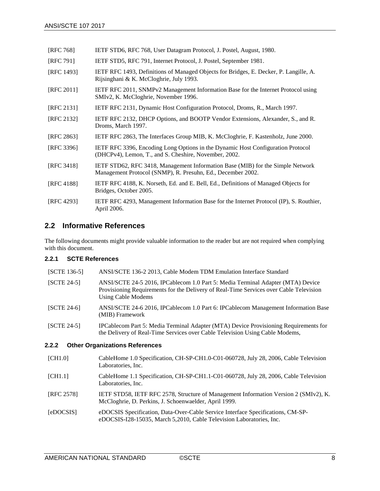<span id="page-7-19"></span>

| [RFC 768] | IETF STD6, RFC 768, User Datagram Protocol, J. Postel, August, 1980. |
|-----------|----------------------------------------------------------------------|
|           |                                                                      |

- <span id="page-7-18"></span>[RFC 791] IETF STD5, RFC 791, Internet Protocol, J. Postel, September 1981.
- <span id="page-7-14"></span>[RFC 1493] IETF RFC 1493, Definitions of Managed Objects for Bridges, E. Decker, P. Langille, A. Rijsinghani & K. McCloghrie, July 1993.
- <span id="page-7-12"></span>[RFC 2011] IETF RFC 2011, SNMPv2 Management Information Base for the Internet Protocol using SMIv2, K. McCloghrie, November 1996.
- [RFC 2131] IETF RFC 2131, Dynamic Host Configuration Protocol, Droms, R., March 1997.
- <span id="page-7-16"></span>[RFC 2132] IETF RFC 2132, DHCP Options, and BOOTP Vendor Extensions, Alexander, S., and R. Droms, March 1997.
- <span id="page-7-11"></span>[RFC 2863] IETF RFC 2863, The Interfaces Group MIB, K. McCloghrie, F. Kastenholz, June 2000.
- <span id="page-7-17"></span>[RFC 3396] IETF RFC 3396, Encoding Long Options in the Dynamic Host Configuration Protocol (DHCPv4), Lemon, T., and S. Cheshire, November, 2002.
- <span id="page-7-9"></span>[RFC 3418] IETF STD62, RFC 3418, Management Information Base (MIB) for the Simple Network Management Protocol (SNMP), R. Presuhn, Ed., December 2002.
- <span id="page-7-15"></span>[RFC 4188] IETF RFC 4188, K. Norseth, Ed. and E. Bell, Ed., Definitions of Managed Objects for Bridges, October 2005.
- <span id="page-7-13"></span>[RFC 4293] IETF RFC 4293, Management Information Base for the Internet Protocol (IP), S. Routhier, April 2006.

#### <span id="page-7-0"></span>**2.2 Informative References**

The following documents might provide valuable information to the reader but are not required when complying with this document.

#### <span id="page-7-1"></span>**2.2.1 SCTE References**

<span id="page-7-8"></span><span id="page-7-4"></span>

| [SCTE 136-5]              | ANSI/SCTE 136-2 2013, Cable Modem TDM Emulation Interface Standard                                                                                                                              |
|---------------------------|-------------------------------------------------------------------------------------------------------------------------------------------------------------------------------------------------|
| $[SCTE 24-5]$             | ANSI/SCTE 24-5 2016, IPCablecom 1.0 Part 5: Media Terminal Adapter (MTA) Device<br>Provisioning Requirements for the Delivery of Real-Time Services over Cable Television<br>Using Cable Modems |
| $[SCTE 24-6]$             | ANSI/SCTE 24-6 2016, IPCablecom 1.0 Part 6: IPCablecom Management Information Base<br>(MIB) Framework                                                                                           |
| $[SCTE 24-5]$             | IPCablecom Part 5: Media Terminal Adapter (MTA) Device Provisioning Requirements for<br>the Delivery of Real-Time Services over Cable Television Using Cable Modems,                            |
| 2.2.2                     | <b>Other Organizations References</b>                                                                                                                                                           |
| $L$ $\cap$ $L$ $\cap$ $L$ |                                                                                                                                                                                                 |

#### <span id="page-7-6"></span><span id="page-7-5"></span><span id="page-7-2"></span>[CH1.0] CableHome 1.0 Specification, CH-SP-CH1.0-C01-060728, July 28, 2006, Cable Television Laboratories, Inc.

- <span id="page-7-7"></span>[CH1.1] CableHome 1.1 Specification, CH-SP-CH1.1-C01-060728, July 28, 2006, Cable Television Laboratories, Inc.
- <span id="page-7-10"></span>[RFC 2578] IETF STD58, IETF RFC 2578, Structure of Management Information Version 2 (SMIv2), K. McCloghrie, D. Perkins, J. Schoenwaelder, April 1999.
- <span id="page-7-3"></span>[eDOCSIS] eDOCSIS Specification, Data-Over-Cable Service Interface Specifications, CM-SPeDOCSIS-I28-15035, March 5,2010, Cable Television Laboratories, Inc.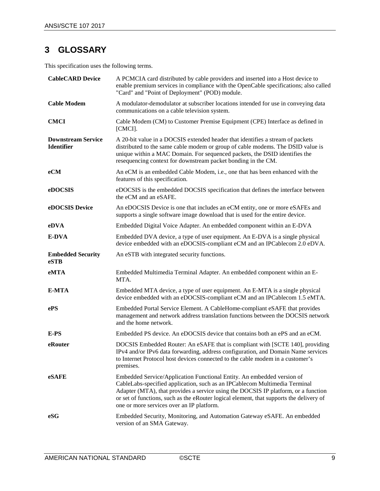## <span id="page-8-0"></span>**3 GLOSSARY**

This specification uses the following terms.

| <b>CableCARD Device</b>                        | A PCMCIA card distributed by cable providers and inserted into a Host device to<br>enable premium services in compliance with the OpenCable specifications; also called<br>"Card" and "Point of Deployment" (POD) module.                                                                                                                                                          |
|------------------------------------------------|------------------------------------------------------------------------------------------------------------------------------------------------------------------------------------------------------------------------------------------------------------------------------------------------------------------------------------------------------------------------------------|
| <b>Cable Modem</b>                             | A modulator-demodulator at subscriber locations intended for use in conveying data<br>communications on a cable television system.                                                                                                                                                                                                                                                 |
| <b>CMCI</b>                                    | Cable Modem (CM) to Customer Premise Equipment (CPE) Interface as defined in<br>[CMCI].                                                                                                                                                                                                                                                                                            |
| <b>Downstream Service</b><br><b>Identifier</b> | A 20-bit value in a DOCSIS extended header that identifies a stream of packets<br>distributed to the same cable modem or group of cable modems. The DSID value is<br>unique within a MAC Domain. For sequenced packets, the DSID identifies the<br>resequencing context for downstream packet bonding in the CM.                                                                   |
| eCM                                            | An eCM is an embedded Cable Modem, i.e., one that has been enhanced with the<br>features of this specification.                                                                                                                                                                                                                                                                    |
| eDOCSIS                                        | eDOCSIS is the embedded DOCSIS specification that defines the interface between<br>the eCM and an eSAFE.                                                                                                                                                                                                                                                                           |
| eDOCSIS Device                                 | An eDOCSIS Device is one that includes an eCM entity, one or more eSAFEs and<br>supports a single software image download that is used for the entire device.                                                                                                                                                                                                                      |
| eDVA                                           | Embedded Digital Voice Adapter. An embedded component within an E-DVA                                                                                                                                                                                                                                                                                                              |
| E-DVA                                          | Embedded DVA device, a type of user equipment. An E-DVA is a single physical<br>device embedded with an eDOCSIS-compliant eCM and an IPCablecom 2.0 eDVA.                                                                                                                                                                                                                          |
| <b>Embedded Security</b><br>eSTB               | An eSTB with integrated security functions.                                                                                                                                                                                                                                                                                                                                        |
| eMTA                                           | Embedded Multimedia Terminal Adapter. An embedded component within an E-<br>MTA.                                                                                                                                                                                                                                                                                                   |
| E-MTA                                          | Embedded MTA device, a type of user equipment. An E-MTA is a single physical<br>device embedded with an eDOCSIS-compliant eCM and an IPCablecom 1.5 eMTA.                                                                                                                                                                                                                          |
| ePS                                            | Embedded Portal Service Element. A CableHome-compliant eSAFE that provides<br>management and network address translation functions between the DOCSIS network<br>and the home network.                                                                                                                                                                                             |
| E-PS                                           | Embedded PS device. An eDOCSIS device that contains both an ePS and an eCM.                                                                                                                                                                                                                                                                                                        |
| eRouter                                        | DOCSIS Embedded Router: An eSAFE that is compliant with [SCTE 140], providing<br>IPv4 and/or IPv6 data forwarding, address configuration, and Domain Name services<br>to Internet Protocol host devices connected to the cable modem in a customer's<br>premises.                                                                                                                  |
| eSAFE                                          | Embedded Service/Application Functional Entity. An embedded version of<br>CableLabs-specified application, such as an IPCablecom Multimedia Terminal<br>Adapter (MTA), that provides a service using the DOCSIS IP platform, or a function<br>or set of functions, such as the eRouter logical element, that supports the delivery of<br>one or more services over an IP platform. |
| eSG                                            | Embedded Security, Monitoring, and Automation Gateway eSAFE. An embedded<br>version of an SMA Gateway.                                                                                                                                                                                                                                                                             |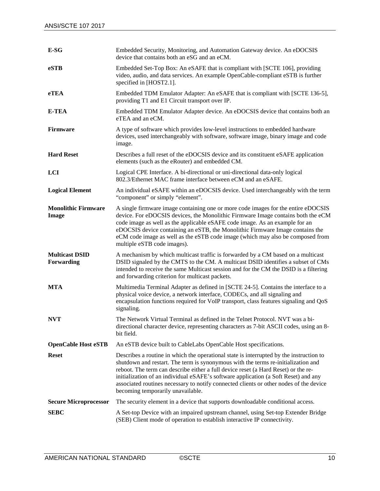| E-SG                                | Embedded Security, Monitoring, and Automation Gateway device. An eDOCSIS<br>device that contains both an eSG and an eCM.                                                                                                                                                                                                                                                                                                                                                                 |
|-------------------------------------|------------------------------------------------------------------------------------------------------------------------------------------------------------------------------------------------------------------------------------------------------------------------------------------------------------------------------------------------------------------------------------------------------------------------------------------------------------------------------------------|
| eSTB                                | Embedded Set-Top Box: An eSAFE that is compliant with [SCTE 106], providing<br>video, audio, and data services. An example OpenCable-compliant eSTB is further<br>specified in [HOST2.1].                                                                                                                                                                                                                                                                                                |
| eTEA                                | Embedded TDM Emulator Adapter: An eSAFE that is compliant with [SCTE 136-5],<br>providing T1 and E1 Circuit transport over IP.                                                                                                                                                                                                                                                                                                                                                           |
| <b>E-TEA</b>                        | Embedded TDM Emulator Adapter device. An eDOCSIS device that contains both an<br>eTEA and an eCM.                                                                                                                                                                                                                                                                                                                                                                                        |
| <b>Firmware</b>                     | A type of software which provides low-level instructions to embedded hardware<br>devices, used interchangeably with software, software image, binary image and code<br>image.                                                                                                                                                                                                                                                                                                            |
| <b>Hard Reset</b>                   | Describes a full reset of the eDOCSIS device and its constituent eSAFE application<br>elements (such as the eRouter) and embedded CM.                                                                                                                                                                                                                                                                                                                                                    |
| LCI                                 | Logical CPE Interface. A bi-directional or uni-directional data-only logical<br>802.3/Ethernet MAC frame interface between eCM and an eSAFE.                                                                                                                                                                                                                                                                                                                                             |
| <b>Logical Element</b>              | An individual eSAFE within an eDOCSIS device. Used interchangeably with the term<br>"component" or simply "element".                                                                                                                                                                                                                                                                                                                                                                     |
| <b>Monolithic Firmware</b><br>Image | A single firmware image containing one or more code images for the entire eDOCSIS<br>device. For eDOCSIS devices, the Monolithic Firmware Image contains both the eCM<br>code image as well as the applicable eSAFE code image. As an example for an<br>eDOCSIS device containing an eSTB, the Monolithic Firmware Image contains the<br>eCM code image as well as the eSTB code image (which may also be composed from<br>multiple eSTB code images).                                   |
| <b>Multicast DSID</b><br>Forwarding | A mechanism by which multicast traffic is forwarded by a CM based on a multicast<br>DSID signaled by the CMTS to the CM. A multicast DSID identifies a subset of CMs<br>intended to receive the same Multicast session and for the CM the DSID is a filtering<br>and forwarding criterion for multicast packets.                                                                                                                                                                         |
| <b>MTA</b>                          | Multimedia Terminal Adapter as defined in [SCTE 24-5]. Contains the interface to a<br>physical voice device, a network interface, CODECs, and all signaling and<br>encapsulation functions required for VoIP transport, class features signaling and QoS<br>signaling.                                                                                                                                                                                                                   |
| <b>NVT</b>                          | The Network Virtual Terminal as defined in the Telnet Protocol. NVT was a bi-<br>directional character device, representing characters as 7-bit ASCII codes, using an 8-<br>bit field.                                                                                                                                                                                                                                                                                                   |
| <b>OpenCable Host eSTB</b>          | An eSTB device built to CableLabs OpenCable Host specifications.                                                                                                                                                                                                                                                                                                                                                                                                                         |
| <b>Reset</b>                        | Describes a routine in which the operational state is interrupted by the instruction to<br>shutdown and restart. The term is synonymous with the terms re-initialization and<br>reboot. The term can describe either a full device reset (a Hard Reset) or the re-<br>initialization of an individual eSAFE's software application (a Soft Reset) and any<br>associated routines necessary to notify connected clients or other nodes of the device<br>becoming temporarily unavailable. |
| <b>Secure Microprocessor</b>        | The security element in a device that supports downloadable conditional access.                                                                                                                                                                                                                                                                                                                                                                                                          |
| <b>SEBC</b>                         | A Set-top Device with an impaired upstream channel, using Set-top Extender Bridge<br>(SEB) Client mode of operation to establish interactive IP connectivity.                                                                                                                                                                                                                                                                                                                            |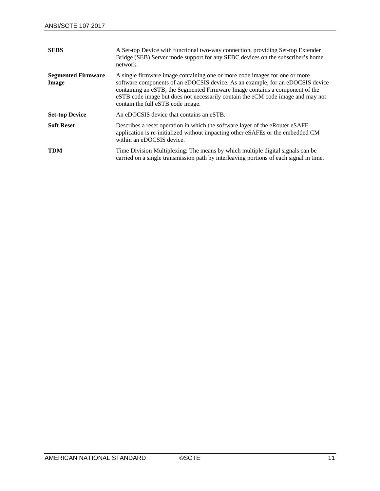| <b>SEBS</b>                        | A Set-top Device with functional two-way connection, providing Set-top Extender<br>Bridge (SEB) Server mode support for any SEBC devices on the subscriber's home<br>network.                                                                                                                                                                                        |
|------------------------------------|----------------------------------------------------------------------------------------------------------------------------------------------------------------------------------------------------------------------------------------------------------------------------------------------------------------------------------------------------------------------|
| <b>Segmented Firmware</b><br>Image | A single firmware image containing one or more code images for one or more<br>software components of an eDOCSIS device. As an example, for an eDOCSIS device<br>containing an eSTB, the Segmented Firmware Image contains a component of the<br>eSTB code image but does not necessarily contain the eCM code image and may not<br>contain the full eSTB code image. |
| <b>Set-top Device</b>              | An eDOCSIS device that contains an eSTB.                                                                                                                                                                                                                                                                                                                             |
| <b>Soft Reset</b>                  | Describes a reset operation in which the software layer of the eRouter eSAFE<br>application is re-initialized without impacting other eSAFEs or the embedded CM<br>within an eDOCSIS device.                                                                                                                                                                         |
| <b>TDM</b>                         | Time Division Multiplexing: The means by which multiple digital signals can be<br>carried on a single transmission path by interleaving portions of each signal in time.                                                                                                                                                                                             |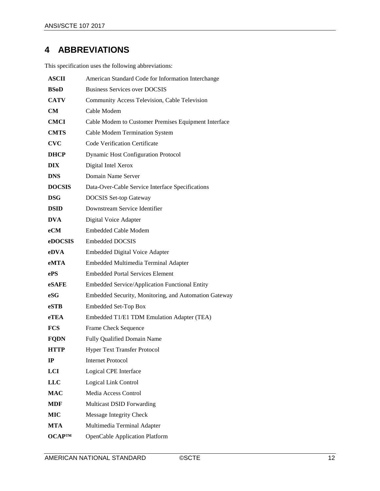## <span id="page-11-0"></span>**4 ABBREVIATIONS**

This specification uses the following abbreviations:

| <b>ASCII</b>  | American Standard Code for Information Interchange    |
|---------------|-------------------------------------------------------|
| <b>BSoD</b>   | <b>Business Services over DOCSIS</b>                  |
| <b>CATV</b>   | Community Access Television, Cable Television         |
| CM            | Cable Modem                                           |
| <b>CMCI</b>   | Cable Modem to Customer Premises Equipment Interface  |
| <b>CMTS</b>   | Cable Modem Termination System                        |
| <b>CVC</b>    | <b>Code Verification Certificate</b>                  |
| <b>DHCP</b>   | <b>Dynamic Host Configuration Protocol</b>            |
| <b>DIX</b>    | Digital Intel Xerox                                   |
| <b>DNS</b>    | Domain Name Server                                    |
| <b>DOCSIS</b> | Data-Over-Cable Service Interface Specifications      |
| <b>DSG</b>    | <b>DOCSIS</b> Set-top Gateway                         |
| <b>DSID</b>   | Downstream Service Identifier                         |
| <b>DVA</b>    | Digital Voice Adapter                                 |
| eCM           | <b>Embedded Cable Modem</b>                           |
| eDOCSIS       | <b>Embedded DOCSIS</b>                                |
| eDVA          | <b>Embedded Digital Voice Adapter</b>                 |
| eMTA          | Embedded Multimedia Terminal Adapter                  |
| ePS           | <b>Embedded Portal Services Element</b>               |
| eSAFE         | Embedded Service/Application Functional Entity        |
| eSG           | Embedded Security, Monitoring, and Automation Gateway |
| eSTB          | <b>Embedded Set-Top Box</b>                           |
| eTEA          | Embedded T1/E1 TDM Emulation Adapter (TEA)            |
| <b>FCS</b>    | Frame Check Sequence                                  |
| <b>FODN</b>   | Fully Qualified Domain Name                           |
| <b>HTTP</b>   | <b>Hyper Text Transfer Protocol</b>                   |
| $_{\rm IP}$   | <b>Internet Protocol</b>                              |
| LCI           | Logical CPE Interface                                 |
| <b>LLC</b>    | Logical Link Control                                  |
| <b>MAC</b>    | Media Access Control                                  |
| <b>MDF</b>    | Multicast DSID Forwarding                             |
| MIC           | <b>Message Integrity Check</b>                        |
| MTA           | Multimedia Terminal Adapter                           |
| ОСАРТМ        | <b>OpenCable Application Platform</b>                 |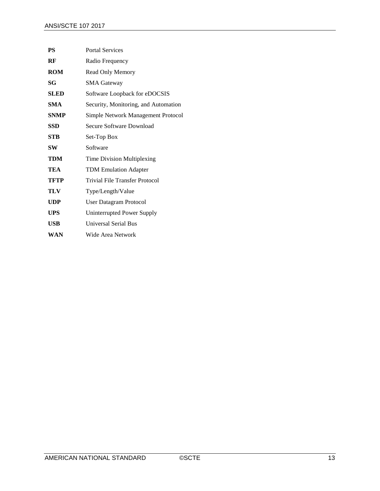| <b>PS</b>   | <b>Portal Services</b>                |
|-------------|---------------------------------------|
| RF          | Radio Frequency                       |
| <b>ROM</b>  | Read Only Memory                      |
| SG          | <b>SMA Gateway</b>                    |
| <b>SLED</b> | Software Loopback for eDOCSIS         |
| <b>SMA</b>  | Security, Monitoring, and Automation  |
| <b>SNMP</b> | Simple Network Management Protocol    |
| <b>SSD</b>  | Secure Software Download              |
| <b>STB</b>  | Set-Top Box                           |
| SW          | Software                              |
| TDM         | Time Division Multiplexing            |
| TEA         | <b>TDM Emulation Adapter</b>          |
| <b>TFTP</b> | <b>Trivial File Transfer Protocol</b> |
| TLV         | Type/Length/Value                     |
| <b>UDP</b>  | <b>User Datagram Protocol</b>         |
| <b>UPS</b>  | <b>Uninterrupted Power Supply</b>     |
| <b>USB</b>  | Universal Serial Bus                  |
| WAN         | Wide Area Network                     |
|             |                                       |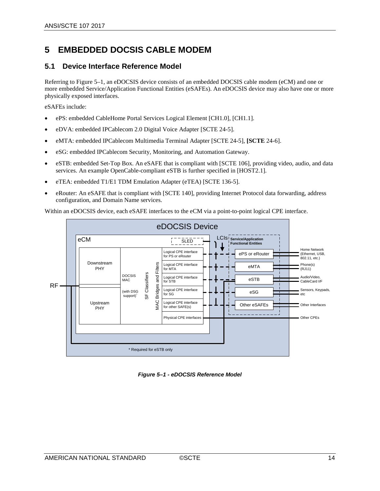### <span id="page-13-0"></span>**5 EMBEDDED DOCSIS CABLE MODEM**

### <span id="page-13-1"></span>**5.1 Device Interface Reference Model**

Referring to [Figure](#page-13-2) 5–1, an eDOCSIS device consists of an embedded DOCSIS cable modem (eCM) and one or more embedded Service/Application Functional Entities (eSAFEs). An eDOCSIS device may also have one or more physically exposed interfaces.

eSAFEs include:

- ePS: embedded CableHome Portal Services Logical Element [\[CH1.0\],](#page-7-6) [\[CH1.1\].](#page-7-7)
- eDVA: embedded IPCablecom 2.0 Digital Voice Adapter [SCTE 24-5].
- eMTA: embedded IPCablecom Multimedia Terminal Adapter [\[SCTE 24-5\],](#page-7-5) **[\[SCTE](#page-7-8)** 24-6].
- eSG: embedded IPCablecom Security, Monitoring, and Automation Gateway.
- eSTB: embedded Set-Top Box. An eSAFE that is compliant wit[h \[SCTE 106\],](#page-6-13) providing video, audio, and data services. An example OpenCable-compliant eSTB is further specified in [\[HOST2.1\].](#page-6-14)
- eTEA: embedded T1/E1 TDM Emulation Adapter (eTEA) [\[SCTE 136-5\].](#page-7-4)
- eRouter: An eSAFE that is compliant with [\[SCTE 140\],](#page-6-12) providing Internet Protocol data forwarding, address configuration, and Domain Name services.

Within an eDOCSIS device, each eSAFE interfaces to the eCM via a point-to-point logical CPE interface.



<span id="page-13-2"></span>*Figure 5–1 - eDOCSIS Reference Model*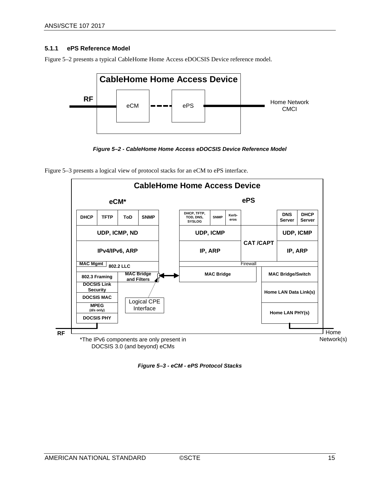#### <span id="page-14-0"></span>**5.1.1 ePS Reference Model**

[Figure](#page-14-1) 5–2 presents a typical CableHome Home Access eDOCSIS Device reference model.







<span id="page-14-1"></span>[Figure](#page-14-2) 5–3 presents a logical view of protocol stacks for an eCM to ePS interface.

<span id="page-14-2"></span>*Figure 5–3 - eCM - ePS Protocol Stacks*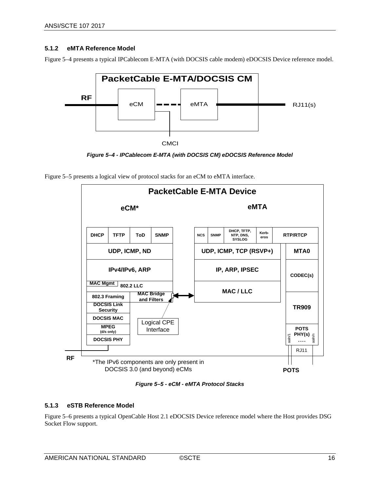#### <span id="page-15-0"></span>**5.1.2 eMTA Reference Model**

[Figure](#page-15-2) 5–4 presents a typical IPCablecom E-MTA (with DOCSIS cable modem) eDOCSIS Device reference model.







<span id="page-15-2"></span>[Figure](#page-15-3) 5–5 presents a logical view of protocol stacks for an eCM to eMTA interface.

*Figure 5–5 - eCM - eMTA Protocol Stacks*

#### <span id="page-15-3"></span><span id="page-15-1"></span>**5.1.3 eSTB Reference Model**

[Figure](#page-16-0) 5–6 presents a typical OpenCable Host 2.1 eDOCSIS Device reference model where the Host provides DSG Socket Flow support.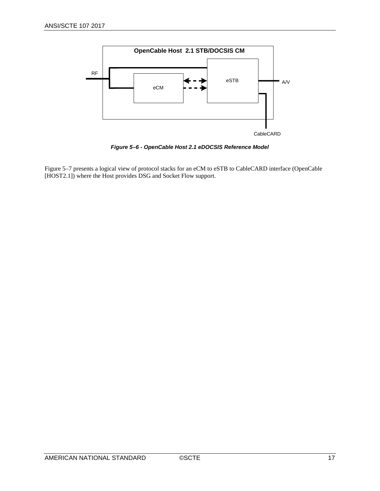

*Figure 5–6 - OpenCable Host 2.1 eDOCSIS Reference Model*

<span id="page-16-0"></span>[Figure](#page-17-0) 5–7 presents a logical view of protocol stacks for an eCM to eSTB to CableCARD interface (OpenCable [\[HOST2.1\]\)](#page-6-14) where the Host provides DSG and Socket Flow support.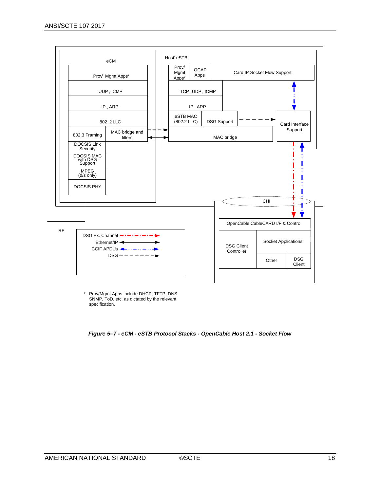

Prov/Mgmt Apps include DHCP, TFTP, DNS, SNMP, ToD, etc. as dictated by the relevant specification.

<span id="page-17-0"></span>*Figure 5–7 - eCM - eSTB Protocol Stacks - OpenCable Host 2.1 - Socket Flow*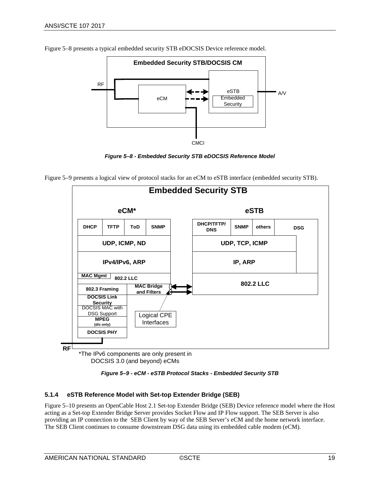

[Figure](#page-18-1) 5–8 presents a typical embedded security STB eDOCSIS Device reference model.





<span id="page-18-1"></span>[Figure](#page-18-2) 5–9 presents a logical view of protocol stacks for an eCM to eSTB interface (embedded security STB).

*Figure 5–9 - eCM - eSTB Protocol Stacks - Embedded Security STB*

#### <span id="page-18-2"></span><span id="page-18-0"></span>**5.1.4 eSTB Reference Model with Set-top Extender Bridge (SEB)**

[Figure](#page-19-0) 5–10 presents an OpenCable Host 2.1 Set-top Extender Bridge (SEB) Device reference model where the Host acting as a Set-top Extender Bridge Server provides Socket Flow and IP Flow support. The SEB Server is also providing an IP connection to the SEB Client by way of the SEB Server's eCM and the home network interface. The SEB Client continues to consume downstream DSG data using its embedded cable modem (eCM).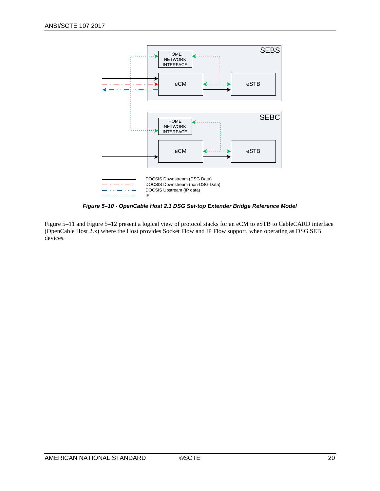

*Figure 5–10 - OpenCable Host 2.1 DSG Set-top Extender Bridge Reference Model*

<span id="page-19-0"></span>[Figure](#page-20-0) 5–11 and [Figure](#page-20-1) 5–12 present a logical view of protocol stacks for an eCM to eSTB to CableCARD interface (OpenCable Host 2.x) where the Host provides Socket Flow and IP Flow support, when operating as DSG SEB devices.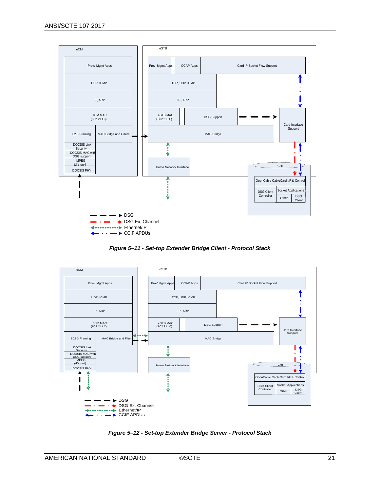

*Figure 5–11 - Set-top Extender Bridge Client - Protocol Stack*

<span id="page-20-0"></span>

<span id="page-20-1"></span>*Figure 5–12 - Set-top Extender Bridge Server - Protocol Stack*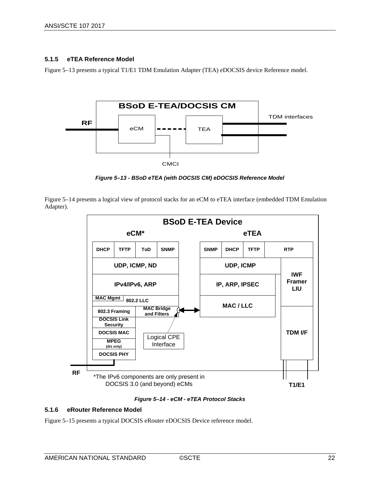#### <span id="page-21-0"></span>**5.1.5 eTEA Reference Model**

[Figure](#page-21-2) 5–13 presents a typical T1/E1 TDM Emulation Adapter (TEA) eDOCSIS device Reference model.



*Figure 5–13 - BSoD eTEA (with DOCSIS CM) eDOCSIS Reference Model*

<span id="page-21-2"></span>[Figure](#page-21-3) 5–14 presents a logical view of protocol stacks for an eCM to eTEA interface (embedded TDM Emulation Adapter).



*Figure 5–14 - eCM - eTEA Protocol Stacks*

#### <span id="page-21-3"></span><span id="page-21-1"></span>**5.1.6 eRouter Reference Model**

[Figure](#page-22-1) 5–15 presents a typical DOCSIS eRouter eDOCSIS Device reference model.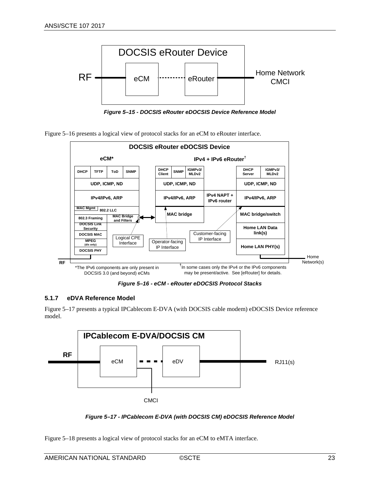

*Figure 5–15 - DOCSIS eRouter eDOCSIS Device Reference Model*

<span id="page-22-1"></span>



*Figure 5–16 - eCM - eRouter eDOCSIS Protocol Stacks*

#### <span id="page-22-2"></span><span id="page-22-0"></span>**5.1.7 eDVA Reference Model**

[Figure](#page-22-3) 5–17 presents a typical IPCablecom E-DVA (with DOCSIS cable modem) eDOCSIS Device reference model.



*Figure 5–17 - IPCablecom E-DVA (with DOCSIS CM) eDOCSIS Reference Model*

<span id="page-22-3"></span>[Figure](#page-23-1) 5–18 presents a logical view of protocol stacks for an eCM to eMTA interface.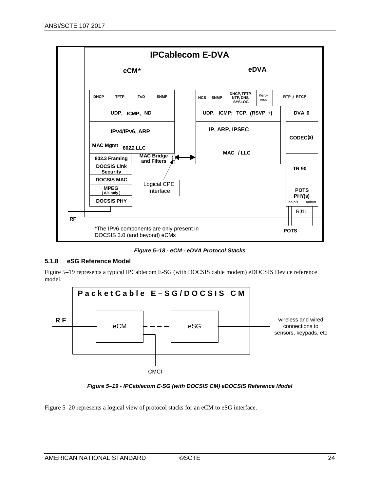

*Figure 5–18 - eCM - eDVA Protocol Stacks*

#### <span id="page-23-1"></span><span id="page-23-0"></span>**5.1.8 eSG Reference Model**

[Figure 5–19](#page-23-2) represents a typical IPCablecom E-SG (with DOCSIS cable modem) eDOCSIS Device reference model.



*Figure 5–19 - IPCablecom E-SG (with DOCSIS CM) eDOCSIS Reference Model*

<span id="page-23-2"></span>[Figure 5–20](#page-24-2) represents a logical view of protocol stacks for an eCM to eSG interface.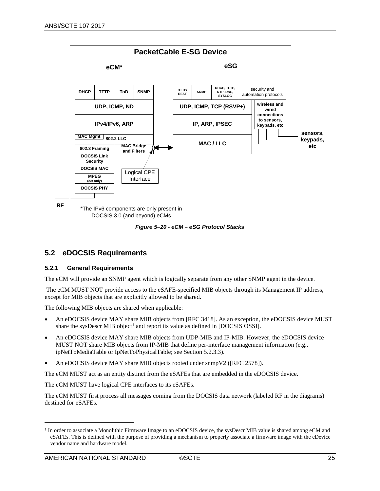

*Figure 5–20 - eCM – eSG Protocol Stacks*

#### <span id="page-24-2"></span><span id="page-24-0"></span>**5.2 eDOCSIS Requirements**

#### <span id="page-24-1"></span>**5.2.1 General Requirements**

The eCM will provide an SNMP agent which is logically separate from any other SNMP agent in the device.

The eCM MUST NOT provide access to the eSAFE-specified MIB objects through its Management IP address, except for MIB objects that are explicitly allowed to be shared.

The following MIB objects are shared when applicable:

- An eDOCSIS device MAY share MIB objects from [RFC [3418\].](#page-7-9) As an exception, the eDOCSIS device MUST share the sysDescr MIB object<sup>[1](#page-24-3)</sup> and report its value as defined in [\[DOCSIS OSSI\].](#page-6-15)
- An eDOCSIS device MAY share MIB objects from UDP-MIB and IP-MIB. However, the eDOCSIS device MUST NOT share MIB objects from IP-MIB that define per-interface management information (e.g., ipNetToMediaTable or IpNetToPhysicalTable; see Section [5.2.3.3\)](#page-31-0).
- An eDOCSIS device MAY share MIB objects rooted under snmpV2 ([RFC [2578\]\)](#page-7-10).

The eCM MUST act as an entity distinct from the eSAFEs that are embedded in the eDOCSIS device.

The eCM MUST have logical CPE interfaces to its eSAFEs.

The eCM MUST first process all messages coming from the DOCSIS data network (labeled RF in the diagrams) destined for eSAFEs.

 $\overline{a}$ 

<span id="page-24-3"></span> $<sup>1</sup>$  In order to associate a Monolithic Firmware Image to an eDOCSIS device, the sysDescr MIB value is shared among eCM and</sup> eSAFEs. This is defined with the purpose of providing a mechanism to properly associate a firmware image with the eDevice vendor name and hardware model.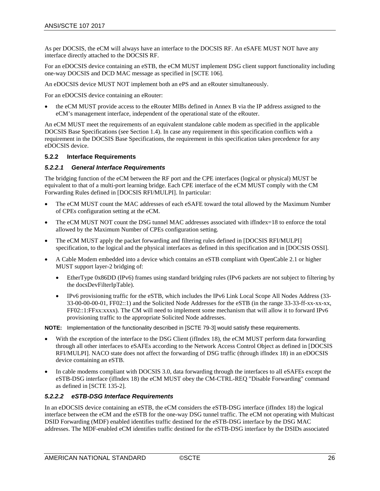As per DOCSIS, the eCM will always have an interface to the DOCSIS RF. An eSAFE MUST NOT have any interface directly attached to the DOCSIS RF.

For an eDOCSIS device containing an eSTB, the eCM MUST implement DSG client support functionality including one-way DOCSIS and DCD MAC message as specified in [\[SCTE 106\].](#page-6-13)

An eDOCSIS device MUST NOT implement both an ePS and an eRouter simultaneously.

For an eDOCSIS device containing an eRouter:

• the eCM MUST provide access to the eRouter MIBs defined in [Annex B](#page-48-0) via the IP address assigned to the eCM's management interface, independent of the operational state of the eRouter.

An eCM MUST meet the requirements of an equivalent standalone cable modem as specified in the applicable DOCSIS Base Specifications (see Section [1.4\)](#page-4-4). In case any requirement in this specification conflicts with a requirement in the DOCSIS Base Specifications, the requirement in this specification takes precedence for any eDOCSIS device.

#### <span id="page-25-0"></span>**5.2.2 Interface Requirements**

#### *5.2.2.1 General Interface Requirements*

The bridging function of the eCM between the RF port and the CPE interfaces (logical or physical) MUST be equivalent to that of a multi-port learning bridge. Each CPE interface of the eCM MUST comply with the CM Forwarding Rules defined in [\[DOCSIS RFI/MULPI\].](#page-6-16) In particular:

- The eCM MUST count the MAC addresses of each eSAFE toward the total allowed by the Maximum Number of CPEs configuration setting at the eCM.
- The eCM MUST NOT count the DSG tunnel MAC addresses associated with ifIndex=18 to enforce the total allowed by the Maximum Number of CPEs configuration setting.
- The eCM MUST apply the packet forwarding and filtering rules defined in [\[DOCSIS RFI/MULPI\]](#page-6-16) specification, to the logical and the physical interfaces as defined in this specification and in [\[DOCSIS OSSI\].](#page-6-15)
- A Cable Modem embedded into a device which contains an eSTB compliant with OpenCable 2.1 or higher MUST support layer-2 bridging of:
	- EtherType 0x86DD (IPv6) frames using standard bridging rules (IPv6 packets are not subject to filtering by the docsDevFilterIpTable).
	- IPv6 provisioning traffic for the eSTB, which includes the IPv6 Link Local Scope All Nodes Address (33- 33-00-00-00-01, FF02::1) and the Solicited Node Addresses for the eSTB (in the range 33-33-ff-xx-xx-xx, FF02::1:FFxx:xxxx). The CM will need to implement some mechanism that will allow it to forward IPv6 provisioning traffic to the appropriate Solicited Node addresses.

**NOTE:** Implementation of the functionality described in [\[SCTE 79-3\]](#page-6-17) would satisfy these requirements.

- With the exception of the interface to the DSG Client (ifIndex 18), the eCM MUST perform data forwarding through all other interfaces to eSAFEs according to the Network Access Control Object as defined in [\[DOCSIS](#page-6-16)  [RFI/MULPI\].](#page-6-16) NACO state does not affect the forwarding of DSG traffic (through ifIndex 18) in an eDOCSIS device containing an eSTB.
- In cable modems compliant with DOCSIS 3.0, data forwarding through the interfaces to all eSAFEs except the eSTB-DSG interface (ifIndex 18) the eCM MUST obey the CM-CTRL-REQ "Disable Forwarding" command as defined i[n \[SCTE 135-2\].](#page-6-9)

#### *5.2.2.2 eSTB-DSG Interface Requirements*

In an eDOCSIS device containing an eSTB, the eCM considers the eSTB-DSG interface (ifIndex 18) the logical interface between the eCM and the eSTB for the one-way DSG tunnel traffic. The eCM not operating with Multicast DSID Forwarding (MDF) enabled identifies traffic destined for the eSTB-DSG interface by the DSG MAC addresses. The MDF-enabled eCM identifies traffic destined for the eSTB-DSG interface by the DSIDs associated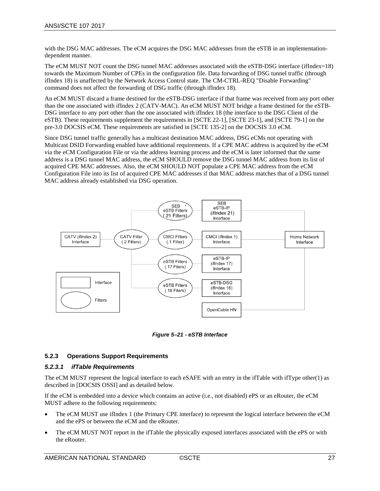with the DSG MAC addresses. The eCM acquires the DSG MAC addresses from the eSTB in an implementationdependent manner.

The eCM MUST NOT count the DSG tunnel MAC addresses associated with the eSTB-DSG interface (ifIndex=18) towards the Maximum Number of CPEs in the configuration file. Data forwarding of DSG tunnel traffic (through ifIndex 18) is unaffected by the Network Access Control state. The CM-CTRL-REQ "Disable Forwarding" command does not affect the forwarding of DSG traffic (through ifIndex 18).

An eCM MUST discard a frame destined for the eSTB-DSG interface if that frame was received from any port other than the one associated with ifIndex 2 (CATV-MAC). An eCM MUST NOT bridge a frame destined for the eSTB-DSG interface to any port other than the one associated with ifIndex 18 (the interface to the DSG Client of the eSTB). These requirements supplement the requirements in [\[SCTE 22-1\],](#page-6-18) [\[SCTE 23-1\],](#page-6-7) and [\[SCTE 79-1\]](#page-6-8) on the pre-3.0 DOCSIS eCM. These requirements are satisfied in [\[SCTE 135-2\]](#page-6-9) on the DOCSIS 3.0 eCM.

Since DSG tunnel traffic generally has a multicast destination MAC address, DSG eCMs not operating with Multicast DSID Forwarding enabled have additional requirements. If a CPE MAC address is acquired by the eCM via the eCM Configuration File or via the address learning process and the eCM is later informed that the same address is a DSG tunnel MAC address, the eCM SHOULD remove the DSG tunnel MAC address from its list of acquired CPE MAC addresses. Also, the eCM SHOULD NOT populate a CPE MAC address from the eCM Configuration File into its list of acquired CPE MAC addresses if that MAC address matches that of a DSG tunnel MAC address already established via DSG operation.



*Figure 5–21 - eSTB Interface*

#### <span id="page-26-1"></span><span id="page-26-0"></span>**5.2.3 Operations Support Requirements**

#### *5.2.3.1 ifTable Requirements*

The eCM MUST represent the logical interface to each eSAFE with an entry in the ifTable with ifType other(1) as described in [\[DOCSIS OSSI\]](#page-6-15) and as detailed below.

If the eCM is embedded into a device which contains an active (i.e., not disabled) ePS or an eRouter, the eCM MUST adhere to the following requirements:

- The eCM MUST use ifIndex 1 (the Primary CPE interface) to represent the logical interface between the eCM and the ePS or between the eCM and the eRouter.
- The eCM MUST NOT report in the ifTable the physically exposed interfaces associated with the ePS or with the eRouter.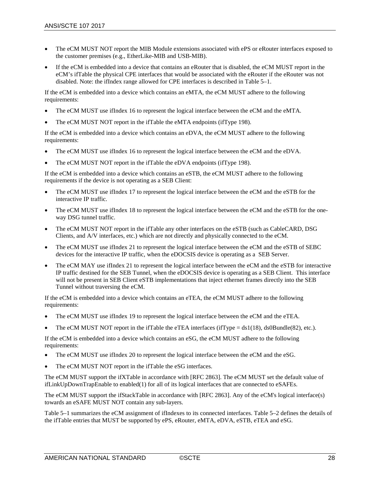- The eCM MUST NOT report the MIB Module extensions associated with ePS or eRouter interfaces exposed to the customer premises (e.g., EtherLike-MIB and USB-MIB).
- If the eCM is embedded into a device that contains an eRouter that is disabled, the eCM MUST report in the eCM's ifTable the physical CPE interfaces that would be associated with the eRouter if the eRouter was not disabled. Note: the ifIndex range allowed for CPE interfaces is described i[n Table 5–1.](#page-28-0)

If the eCM is embedded into a device which contains an eMTA, the eCM MUST adhere to the following requirements:

- The eCM MUST use if Index 16 to represent the logical interface between the eCM and the eMTA.
- The eCM MUST NOT report in the ifTable the eMTA endpoints (ifType 198).

If the eCM is embedded into a device which contains an eDVA, the eCM MUST adhere to the following requirements:

- The eCM MUST use ifIndex 16 to represent the logical interface between the eCM and the eDVA.
- The eCM MUST NOT report in the ifTable the eDVA endpoints (ifType 198).

If the eCM is embedded into a device which contains an eSTB, the eCM MUST adhere to the following requirements if the device is not operating as a SEB Client:

- The eCM MUST use if Index 17 to represent the logical interface between the eCM and the eSTB for the interactive IP traffic.
- The eCM MUST use ifIndex 18 to represent the logical interface between the eCM and the eSTB for the oneway DSG tunnel traffic.
- The eCM MUST NOT report in the ifTable any other interfaces on the eSTB (such as CableCARD, DSG Clients, and A/V interfaces, etc.) which are not directly and physically connected to the eCM.
- The eCM MUST use ifIndex 21 to represent the logical interface between the eCM and the eSTB of SEBC devices for the interactive IP traffic, when the eDOCSIS device is operating as a SEB Server.
- The eCM MAY use ifIndex 21 to represent the logical interface between the eCM and the eSTB for interactive IP traffic destined for the SEB Tunnel, when the eDOCSIS device is operating as a SEB Client. This interface will not be present in SEB Client eSTB implementations that inject ethernet frames directly into the SEB Tunnel without traversing the eCM.

If the eCM is embedded into a device which contains an eTEA, the eCM MUST adhere to the following requirements:

- The eCM MUST use ifIndex 19 to represent the logical interface between the eCM and the eTEA.
- The eCM MUST NOT report in the ifTable the eTEA interfaces (ifType = ds1(18), ds0Bundle(82), etc.).

If the eCM is embedded into a device which contains an eSG, the eCM MUST adhere to the following requirements:

- The eCM MUST use ifIndex 20 to represent the logical interface between the eCM and the eSG.
- The eCM MUST NOT report in the ifTable the eSG interfaces.

The eCM MUST support the ifXTable in accordance with [RFC [2863\].](#page-7-11) The eCM MUST set the default value of ifLinkUpDownTrapEnable to enabled(1) for all of its logical interfaces that are connected to eSAFEs.

The eCM MUST support the ifStackTable in accordance with [RFC [2863\].](#page-7-11) Any of the eCM's logical interface(s) towards an eSAFE MUST NOT contain any sub-layers.

[Table 5–1](#page-28-0) summarizes the eCM assignment of ifIndexes to its connected interfaces. [Table 5–2](#page-28-1) defines the details of the ifTable entries that MUST be supported by ePS, eRouter, eMTA, eDVA, eSTB, eTEA and eSG.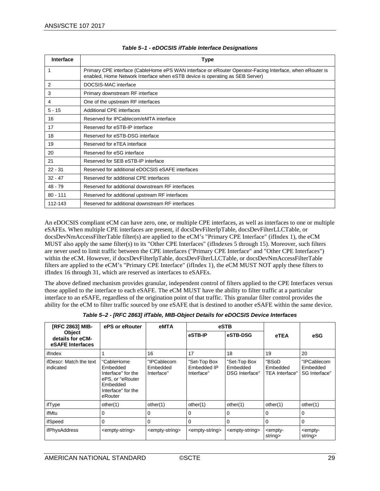<span id="page-28-0"></span>

| Interface  | <b>Type</b>                                                                                                                                                                              |
|------------|------------------------------------------------------------------------------------------------------------------------------------------------------------------------------------------|
| 1          | Primary CPE interface (CableHome ePS WAN interface or eRouter Operator-Facing Interface, when eRouter is<br>enabled, Home Network Interface when eSTB device is operating as SEB Server) |
| 2          | DOCSIS-MAC interface                                                                                                                                                                     |
| 3          | Primary downstream RF interface                                                                                                                                                          |
| 4          | One of the upstream RF interfaces                                                                                                                                                        |
| $5 - 15$   | Additional CPE interfaces                                                                                                                                                                |
| 16         | Reserved for IPCablecom/eMTA interface                                                                                                                                                   |
| 17         | Reserved for eSTB-IP interface                                                                                                                                                           |
| 18         | Reserved for eSTB-DSG interface                                                                                                                                                          |
| 19         | Reserved for eTEA interface                                                                                                                                                              |
| 20         | Reserved for eSG interface                                                                                                                                                               |
| 21         | Reserved for SEB eSTB-IP interface                                                                                                                                                       |
| $22 - 31$  | Reserved for additional eDOCSIS eSAFE interfaces                                                                                                                                         |
| $32 - 47$  | Reserved for additional CPE interfaces                                                                                                                                                   |
| $48 - 79$  | Reserved for additional downstream RF interfaces                                                                                                                                         |
| $80 - 111$ | Reserved for additional upstream RF interfaces                                                                                                                                           |
| 112-143    | Reserved for additional downstream RF interfaces                                                                                                                                         |

#### *Table 5–1 - eDOCSIS ifTable Interface Designations*

An eDOCSIS compliant eCM can have zero, one, or multiple CPE interfaces, as well as interfaces to one or multiple eSAFEs. When multiple CPE interfaces are present, if docsDevFilterIpTable, docsDevFilterLLCTable, or docsDevNmAccessFilterTable filter(s) are applied to the eCM's "Primary CPE Interface" (ifIndex 1), the eCM MUST also apply the same filter(s) to its "Other CPE Interfaces" (ifIndexes 5 through 15). Moreover, such filters are never used to limit traffic between the CPE interfaces ("Primary CPE Interface" and "Other CPE Interfaces") within the eCM. However, if docsDevFilterIpTable, docsDevFilterLLCTable, or docsDevNmAccessFilterTable filters are applied to the eCM's "Primary CPE Interface" (ifIndex 1), the eCM MUST NOT apply these filters to ifIndex 16 through 31, which are reserved as interfaces to eSAFEs.

The above defined mechanism provides granular, independent control of filters applied to the CPE Interfaces versus those applied to the interface to each eSAFE. The eCM MUST have the ability to filter traffic at a particular interface to an eSAFE, regardless of the origination point of that traffic. This granular filter control provides the ability for the eCM to filter traffic sourced by one eSAFE that is destined to another eSAFE within the same device.

<span id="page-28-1"></span>

| [RFC 2863] MIB-                                | ePS or eRouter                                                                                                | eMTA                                  |                                           | eSTB                                       |                                     |                                          |
|------------------------------------------------|---------------------------------------------------------------------------------------------------------------|---------------------------------------|-------------------------------------------|--------------------------------------------|-------------------------------------|------------------------------------------|
| Object<br>details for eCM-<br>eSAFE Interfaces |                                                                                                               |                                       | eSTB-IP                                   | eSTB-DSG                                   | eTEA                                | eSG                                      |
| ifIndex                                        |                                                                                                               | 16                                    | 17                                        | 18                                         | 19                                  | 20                                       |
| ifDescr: Match the text<br>indicated           | "CableHome<br>Embedded<br>Interface" for the<br>ePS, or "eRouter<br>Embedded<br>Interface" for the<br>eRouter | "IPCablecom<br>Embedded<br>Interface" | "Set-Top Box<br>Embedded IP<br>Interface" | "Set-Top Box<br>Embedded<br>DSG Interface" | "BSoD<br>Embedded<br>TEA Interface" | "IPCablecom<br>Embedded<br>SG Interface" |
| ifType                                         | other(1)                                                                                                      | other(1)                              | other(1)                                  | other(1)                                   | other(1)                            | other(1)                                 |
| ifMtu                                          | 0                                                                                                             | 0                                     | 0                                         | $\mathbf 0$                                | 0                                   | $\mathbf 0$                              |
| ifSpeed                                        | 0                                                                                                             | $\Omega$                              | 0                                         | $\Omega$                                   | 0                                   | $\Omega$                                 |
| ifPhysAddress                                  | <empty-string></empty-string>                                                                                 | <empty-string></empty-string>         | <empty-string></empty-string>             | <empty-string></empty-string>              | <empty-<br>string&gt;</empty-<br>   | <empty-<br>string&gt;</empty-<br>        |

*Table 5–2 - [RFC [2863\]](#page-7-11) ifTable, MIB-Object Details for eDOCSIS Device Interfaces*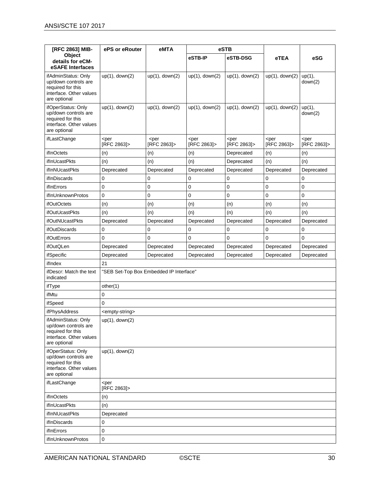| [RFC 2863] MIB-                                                                                             | ePS or eRouter                          | eMTA                            | eSTB                            |                                 |                                 |                                 |
|-------------------------------------------------------------------------------------------------------------|-----------------------------------------|---------------------------------|---------------------------------|---------------------------------|---------------------------------|---------------------------------|
| Object<br>details for eCM-<br>eSAFE Interfaces                                                              |                                         |                                 | eSTB-IP                         | eSTB-DSG                        | eTEA                            | eSG                             |
| ifAdminStatus: Only<br>up/down controls are<br>required for this<br>interface. Other values<br>are optional | $up(1)$ , down $(2)$                    | $up(1)$ , down $(2)$            | $up(1)$ , down $(2)$            | $up(1)$ , down $(2)$            | $up(1)$ , down $(2)$            | $up(1)$ ,<br>down(2)            |
| ifOperStatus: Only<br>up/down controls are<br>required for this<br>interface. Other values<br>are optional  | $up(1)$ , down $(2)$                    | $up(1)$ , down $(2)$            | $up(1)$ , down $(2)$            | $up(1)$ , down $(2)$            | $up(1)$ , down $(2)$            | $up(1)$ ,<br>down(2)            |
| ifLastChange                                                                                                | <per<br>[RFC 2863]&gt;</per<br>         | <per<br>[RFC 2863]&gt;</per<br> | <per<br>[RFC 2863]&gt;</per<br> | <per<br>[RFC 2863]&gt;</per<br> | <per<br>[RFC 2863]&gt;</per<br> | <per<br>[RFC 2863]&gt;</per<br> |
| ifInOctets                                                                                                  | (n)                                     | (n)                             | (n)                             | Deprecated                      | (n)                             | (n)                             |
| <b>ifInUcastPkts</b>                                                                                        | (n)                                     | (n)                             | (n)                             | Deprecated                      | (n)                             | (n)                             |
| ifInNUcastPkts                                                                                              | Deprecated                              | Deprecated                      | Deprecated                      | Deprecated                      | Deprecated                      | Deprecated                      |
| ifInDiscards                                                                                                | $\mathbf 0$                             | 0                               | 0                               | 0                               | $\mathbf 0$                     | 0                               |
| ifInErrors                                                                                                  | 0                                       | 0                               | 0                               | 0                               | $\mathbf 0$                     | 0                               |
| ifInUnknownProtos                                                                                           | $\mathbf 0$                             | 0                               | 0                               | 0                               | $\mathbf 0$                     | $\mathbf 0$                     |
| <b>ifOutOctets</b>                                                                                          | (n)                                     | (n)                             | (n)                             | (n)                             | (n)                             | (n)                             |
| <b>ifOutUcastPkts</b>                                                                                       | (n)                                     | (n)                             | (n)                             | (n)                             | (n)                             | (n)                             |
| <b>ifOutNUcastPkts</b>                                                                                      | Deprecated                              | Deprecated                      | Deprecated                      | Deprecated                      | Deprecated                      | Deprecated                      |
| ifOutDiscards                                                                                               | 0                                       | 0                               | 0                               | 0                               | $\mathbf 0$                     | 0                               |
| ifOutErrors                                                                                                 | $\mathbf 0$                             | 0                               | 0                               | 0                               | $\mathbf 0$                     | 0                               |
| ifOutQLen                                                                                                   | Deprecated                              | Deprecated                      | Deprecated                      | Deprecated                      | Deprecated                      | Deprecated                      |
| ifSpecific                                                                                                  | Deprecated                              | Deprecated                      | Deprecated                      | Deprecated                      | Deprecated                      | Deprecated                      |
| ifIndex                                                                                                     | 21                                      |                                 |                                 |                                 |                                 |                                 |
| ifDescr: Match the text<br>indicated                                                                        | "SEB Set-Top Box Embedded IP Interface" |                                 |                                 |                                 |                                 |                                 |
| ifType                                                                                                      | other(1)                                |                                 |                                 |                                 |                                 |                                 |
| ifMtu                                                                                                       | 0                                       |                                 |                                 |                                 |                                 |                                 |
| ifSpeed                                                                                                     | $\mathbf 0$                             |                                 |                                 |                                 |                                 |                                 |
| ifPhysAddress                                                                                               | <empty-string></empty-string>           |                                 |                                 |                                 |                                 |                                 |
| ifAdminStatus: Only<br>up/down controls are<br>required for this<br>interface. Other values<br>are optional | up(1), down(2)                          |                                 |                                 |                                 |                                 |                                 |
| ifOperStatus: Only<br>up/down controls are<br>required for this<br>interface. Other values<br>are optional  | $up(1)$ , down $(2)$                    |                                 |                                 |                                 |                                 |                                 |
| ifLastChange                                                                                                | <per<br>[RFC 2863]&gt;</per<br>         |                                 |                                 |                                 |                                 |                                 |
| ifInOctets                                                                                                  | (n)                                     |                                 |                                 |                                 |                                 |                                 |
| ifInUcastPkts                                                                                               | (n)                                     |                                 |                                 |                                 |                                 |                                 |
| ifInNUcastPkts                                                                                              | Deprecated                              |                                 |                                 |                                 |                                 |                                 |
| ifInDiscards                                                                                                | $\mathbf 0$                             |                                 |                                 |                                 |                                 |                                 |
| ifInErrors                                                                                                  | $\mathbf 0$                             |                                 |                                 |                                 |                                 |                                 |
| ifInUnknownProtos                                                                                           | $\mathbf 0$                             |                                 |                                 |                                 |                                 |                                 |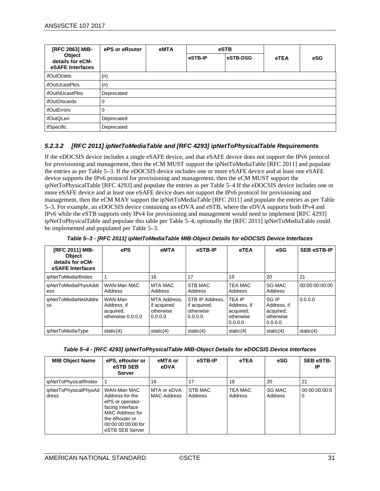| [RFC 2863] MIB-                                | ePS or eRouter | eMTA | eSTB    |          |      |     |
|------------------------------------------------|----------------|------|---------|----------|------|-----|
| Object<br>details for eCM-<br>eSAFE Interfaces |                |      | eSTB-IP | eSTB-DSG | eTEA | eSG |
| <i>ifOutOctets</i>                             | (n)            |      |         |          |      |     |
| ifOutUcastPkts                                 | (n)            |      |         |          |      |     |
| <b>ifOutNUcastPkts</b>                         | Deprecated     |      |         |          |      |     |
| ifOutDiscards                                  | 0              |      |         |          |      |     |
| ifOutErrors                                    | ი              |      |         |          |      |     |
| ifOutQLen                                      | Deprecated     |      |         |          |      |     |
| ifSpecific                                     | Deprecated     |      |         |          |      |     |

#### *5.2.3.2 [RFC [2011\]](#page-7-12) ipNetToMediaTable and [\[RFC](#page-7-13) 4293] ipNetToPhysicalTable Requirements*

If the eDOCSIS device includes a single eSAFE device, and that eSAFE device does not support the IPv6 protocol for provisioning and management, then the eCM MUST support the ipNetToMediaTable [RFC 2011] and populate the entries as per [Table 5–3.](#page-30-0) If the eDOCSIS device includes one or more eSAFE device and at least one eSAFE device supports the IPv6 protocol for provisioning and management, then the eCM MUST support the ipNetToPhysicalTable [RFC 4293] and populate the entries as per [Table 5–4](#page-30-1) If the eDOCSIS device includes one or more eSAFE device and at least one eSAFE device does not support the IPv6 protocol for provisioning and management, then the eCM MAY support the ipNetToMediaTable [RFC 2011] and populate the entries as pe[r Table](#page-30-0)  [5–3.](#page-30-0) For example, an eDOCSIS device containing an eDVA and eSTB, where the eDVA supports both IPv4 and IPv6 while the eSTB supports only IPv4 for provisioning and management would need to implement [\[RFC](#page-7-13) 4293] ipNetToPhysicalTable and populate this table per [Table 5–4,](#page-30-1) optionally the [\[RFC](#page-7-12) 2011] ipNetToMediaTable could be implemented and populated per [Table 5–3.](#page-30-0)

<span id="page-30-0"></span>

| <b>IRFC 20111 MIB-</b><br><b>Object</b><br>details for eCM-<br>eSAFE Interfaces | ePS                                                      | eMTA                                                        | eSTB-IP                                                 | eTEA                                                              | eSG                                                       | <b>SEB eSTB-IP</b> |
|---------------------------------------------------------------------------------|----------------------------------------------------------|-------------------------------------------------------------|---------------------------------------------------------|-------------------------------------------------------------------|-----------------------------------------------------------|--------------------|
| ipNetToMedialfIndex                                                             |                                                          | 16                                                          | 17                                                      | 19                                                                | 20                                                        | 21                 |
| ipNetToMediaPhysAddr<br>ess                                                     | WAN-Man MAC<br>Address                                   | <b>MTA MAC</b><br>Address                                   | STB MAC<br>Address                                      | <b>TEA MAC</b><br>Address                                         | <b>SG MAC</b><br>Address                                  | 00:00:00:00:00     |
| ipNetToMediaNetAddre<br>SS                                                      | WAN-Man<br>Address, if<br>acquired;<br>otherwise 0.0.0.0 | <b>MTA Address.</b><br>if acquired;<br>otherwise<br>0.0.0.0 | STB IP Address.<br>if acquired;<br>otherwise<br>0.0.0.0 | <b>TEA IP</b><br>Address, if<br>acquired;<br>otherwise<br>0.0.0.0 | SG IP<br>Address, if<br>acquired;<br>otherwise<br>0.0.0.0 | 0.0.0.0            |
| ipNetToMediaType                                                                | static $(4)$                                             | static(4)                                                   | static $(4)$                                            | static(4)                                                         | static $(4)$                                              | static $(4)$       |

<span id="page-30-1"></span>

| <b>MIB Object Name</b>         | ePS, eRouter or<br>eSTB SEB<br><b>Server</b>                                                                                                         | eMTA or<br>eDVA                   | eSTB-IP            | eTEA               | eSG                      | <b>SEB eSTB-</b><br>IP |
|--------------------------------|------------------------------------------------------------------------------------------------------------------------------------------------------|-----------------------------------|--------------------|--------------------|--------------------------|------------------------|
| ipNetToPhysicallfIndex         |                                                                                                                                                      | 16                                | 17                 | 19                 | 20                       | 21                     |
| ipNetToPhysicalPhysAd<br>dress | WAN-Man MAC<br>Address for the<br>ePS or operator-<br>facing interface<br>MAC Address for<br>the eRouter or<br>00:00:00:00:00 for<br>eSTB SEB Server | MTA or eDVA<br><b>MAC Address</b> | STB MAC<br>Address | TEA MAC<br>Address | <b>SG MAC</b><br>Address | 00:00:00:00:0<br>0     |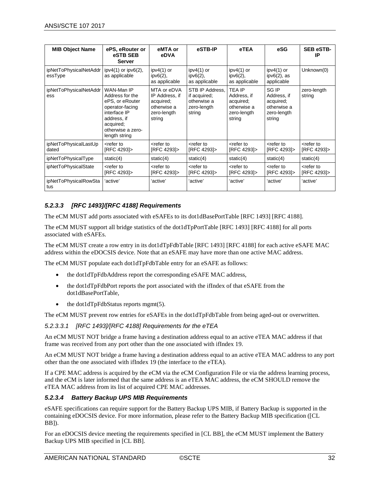| <b>MIB Object Name</b>            | ePS, eRouter or<br>eSTB SEB<br><b>Server</b>                                                                                                          | eMTA or<br>eDVA                                                                    | eSTB-IP                                                                 | eTEA                                                                              | eSG                                                                       | <b>SEB eSTB-</b><br>IP                 |
|-----------------------------------|-------------------------------------------------------------------------------------------------------------------------------------------------------|------------------------------------------------------------------------------------|-------------------------------------------------------------------------|-----------------------------------------------------------------------------------|---------------------------------------------------------------------------|----------------------------------------|
| ipNetToPhysicalNetAddr<br>essType | $ipv4(1)$ or $ipv6(2)$ ,<br>as applicable                                                                                                             | ipv $4(1)$ or<br>$ipv6(2)$ ,<br>as applicable                                      | ipv $4(1)$ or<br>$ipv6(2)$ ,<br>as applicable                           | ipv $4(1)$ or<br>$ipv6(2)$ ,<br>as applicable                                     | $ipv4(1)$ or<br>$ipv6(2)$ , as<br>applicable                              | Unknown(0)                             |
| ipNetToPhysicalNetAddr<br>ess     | WAN-Man IP<br>Address for the<br>ePS, or eRouter<br>operator-facing<br>interface IP<br>address, if<br>acquired;<br>otherwise a zero-<br>length string | MTA or eDVA<br>IP Address, if<br>acquired;<br>otherwise a<br>zero-length<br>string | STB IP Address.<br>if acquired;<br>otherwise a<br>zero-length<br>string | <b>TEA IP</b><br>Address, if<br>acquired;<br>otherwise a<br>zero-length<br>string | SG IP<br>Address, if<br>acquired;<br>otherwise a<br>zero-length<br>string | zero-length<br>string                  |
| ipNetToPhysicalLastUp<br>dated    | <refer to<br="">[RFC 4293]&gt;</refer>                                                                                                                | <refer to<br="">[RFC 4293]&gt;</refer>                                             | <refer to<br="">[RFC 4293]&gt;</refer>                                  | <refer to<br="">[RFC 4293]&gt;</refer>                                            | <refer to<br="">[RFC 4293]&gt;</refer>                                    | <refer to<br="">[RFC 4293]&gt;</refer> |
| ipNetToPhysicalType               | static $(4)$                                                                                                                                          | static $(4)$                                                                       | static $(4)$                                                            | static $(4)$                                                                      | static $(4)$                                                              | static $(4)$                           |
| ipNetToPhysicalState              | <refer to<br="">[RFC 4293]&gt;</refer>                                                                                                                | <refer to<br="">[RFC 4293]&gt;</refer>                                             | <refer to<br="">[RFC 4293]&gt;</refer>                                  | <refer to<br="">[RFC 4293]&gt;</refer>                                            | <refer to<br="">[RFC 4293]&gt;</refer>                                    | <refer to<br="">[RFC 4293]&gt;</refer> |
| ipNetToPhysicalRowSta<br>l tus    | 'active'                                                                                                                                              | 'active'                                                                           | 'active'                                                                | 'active'                                                                          | 'active'                                                                  | 'active'                               |

#### <span id="page-31-0"></span>*5.2.3.3 [RFC [1493\]/](#page-7-14)[\[RFC](#page-7-15) 4188] Requirements*

The eCM MUST add ports associated with eSAFEs to its dot1dBasePortTable [\[RFC](#page-7-14) 1493] [RFC [4188\].](#page-7-15)

The eCM MUST support all bridge statistics of the dot1dTpPortTable [\[RFC](#page-7-14) 1493] [RFC [4188\]](#page-7-15) for all ports associated with eSAFEs.

The eCM MUST create a row entry in its dot1dTpFdbTable [\[RFC](#page-7-14) 1493] [RFC [4188\]](#page-7-15) for each active eSAFE MAC address within the eDOCSIS device. Note that an eSAFE may have more than one active MAC address.

The eCM MUST populate each dot1dTpFdbTable entry for an eSAFE as follows:

- the dot1dTpFdbAddress report the corresponding eSAFE MAC address,
- the dot1dTpFdbPort reports the port associated with the ifIndex of that eSAFE from the dot1dBasePortTable,
- the dot1dTpFdbStatus reports mgmt(5).

The eCM MUST prevent row entries for eSAFEs in the dot1dTpFdbTable from being aged-out or overwritten.

#### *5.2.3.3.1 [RFC [1493\]/](#page-7-14)[\[RFC](#page-7-15) 4188] Requirements for the eTEA*

An eCM MUST NOT bridge a frame having a destination address equal to an active eTEA MAC address if that frame was received from any port other than the one associated with ifIndex 19.

An eCM MUST NOT bridge a frame having a destination address equal to an active eTEA MAC address to any port other than the one associated with ifIndex 19 (the interface to the eTEA).

If a CPE MAC address is acquired by the eCM via the eCM Configuration File or via the address learning process, and the eCM is later informed that the same address is an eTEA MAC address, the eCM SHOULD remove the eTEA MAC address from its list of acquired CPE MAC addresses.

#### *5.2.3.4 Battery Backup UPS MIB Requirements*

eSAFE specifications can require support for the Battery Backup UPS MIB, if Battery Backup is supported in the containing eDOCSIS device. For more information, please refer to the Battery Backup MIB specification [\(\[CL](#page-6-19)  [BB\]\)](#page-6-19).

For an eDOCSIS device meeting the requirements specified in [\[CL BB\],](#page-6-19) the eCM MUST implement the Battery Backup UPS MIB specified in [\[CL BB\].](#page-6-19)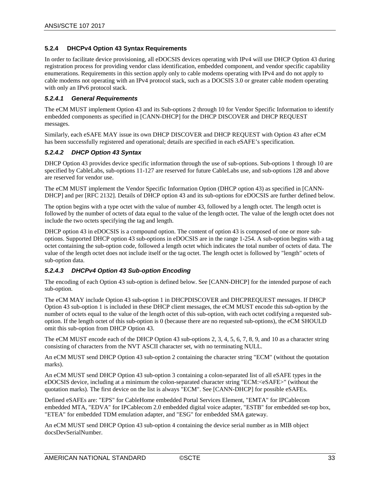#### <span id="page-32-0"></span>**5.2.4 DHCPv4 Option 43 Syntax Requirements**

In order to facilitate device provisioning, all eDOCSIS devices operating with IPv4 will use DHCP Option 43 during registration process for providing vendor class identification, embedded component, and vendor specific capability enumerations. Requirements in this section apply only to cable modems operating with IPv4 and do not apply to cable modems not operating with an IPv4 protocol stack, such as a DOCSIS 3.0 or greater cable modem operating with only an IPv6 protocol stack.

#### *5.2.4.1 General Requirements*

The eCM MUST implement Option 43 and its Sub-options 2 through 10 for Vendor Specific Information to identify embedded components as specified in [\[CANN-DHCP\]](#page-6-20) for the DHCP DISCOVER and DHCP REQUEST messages.

Similarly, each eSAFE MAY issue its own DHCP DISCOVER and DHCP REQUEST with Option 43 after eCM has been successfully registered and operational; details are specified in each eSAFE's specification.

#### *5.2.4.2 DHCP Option 43 Syntax*

DHCP Option 43 provides device specific information through the use of sub-options. Sub-options 1 through 10 are specified by CableLabs, sub-options 11-127 are reserved for future CableLabs use, and sub-options 128 and above are reserved for vendor use.

The eCM MUST implement the Vendor Specific Information Option (DHCP option 43) as specified in [\[CANN-](#page-6-20)[DHCP\]](#page-6-20) and per [RFC [2132\].](#page-7-16) Details of DHCP option 43 and its sub-options for eDOCSIS are further defined below.

The option begins with a type octet with the value of number 43, followed by a length octet. The length octet is followed by the number of octets of data equal to the value of the length octet. The value of the length octet does not include the two octets specifying the tag and length.

DHCP option 43 in eDOCSIS is a compound option. The content of option 43 is composed of one or more suboptions. Supported DHCP option 43 sub-options in eDOCSIS are in the range 1-254. A sub-option begins with a tag octet containing the sub-option code, followed a length octet which indicates the total number of octets of data. The value of the length octet does not include itself or the tag octet. The length octet is followed by "length" octets of sub-option data.

#### <span id="page-32-1"></span>*5.2.4.3 DHCPv4 Option 43 Sub-option Encoding*

The encoding of each Option 43 sub-option is defined below. See [\[CANN-DHCP\]](#page-6-20) for the intended purpose of each sub-option.

The eCM MAY include Option 43 sub-option 1 in DHCPDISCOVER and DHCPREQUEST messages. If DHCP Option 43 sub-option 1 is included in these DHCP client messages, the eCM MUST encode this sub-option by the number of octets equal to the value of the length octet of this sub-option, with each octet codifying a requested suboption. If the length octet of this sub-option is 0 (because there are no requested sub-options), the eCM SHOULD omit this sub-option from DHCP Option 43.

The eCM MUST encode each of the DHCP Option 43 sub-options 2, 3, 4, 5, 6, 7, 8, 9, and 10 as a character string consisting of characters from the NVT ASCII character set, with no terminating NULL.

An eCM MUST send DHCP Option 43 sub-option 2 containing the character string "ECM" (without the quotation marks).

An eCM MUST send DHCP Option 43 sub-option 3 containing a colon-separated list of all eSAFE types in the eDOCSIS device, including at a minimum the colon-separated character string "ECM:<eSAFE>" (without the quotation marks). The first device on the list is always "ECM". Se[e \[CANN-DHCP\]](#page-6-20) for possible eSAFEs.

Defined eSAFEs are: "EPS" for CableHome embedded Portal Services Element, "EMTA" for IPCablecom embedded MTA, "EDVA" for IPCablecom 2.0 embedded digital voice adapter, "ESTB" for embedded set-top box, "ETEA" for embedded TDM emulation adapter, and "ESG" for embedded SMA gateway.

An eCM MUST send DHCP Option 43 sub-option 4 containing the device serial number as in MIB object docsDevSerialNumber.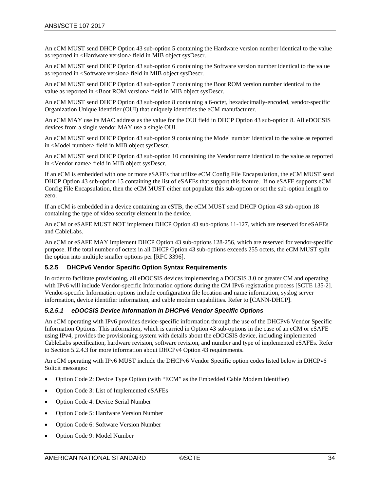An eCM MUST send DHCP Option 43 sub-option 5 containing the Hardware version number identical to the value as reported in <Hardware version> field in MIB object sysDescr.

An eCM MUST send DHCP Option 43 sub-option 6 containing the Software version number identical to the value as reported in <Software version> field in MIB object sysDescr.

An eCM MUST send DHCP Option 43 sub-option 7 containing the Boot ROM version number identical to the value as reported in <Boot ROM version> field in MIB object sysDescr.

An eCM MUST send DHCP Option 43 sub-option 8 containing a 6-octet, hexadecimally-encoded, vendor-specific Organization Unique Identifier (OUI) that uniquely identifies the eCM manufacturer.

An eCM MAY use its MAC address as the value for the OUI field in DHCP Option 43 sub-option 8. All eDOCSIS devices from a single vendor MAY use a single OUI.

An eCM MUST send DHCP Option 43 sub-option 9 containing the Model number identical to the value as reported in <Model number> field in MIB object sysDescr.

An eCM MUST send DHCP Option 43 sub-option 10 containing the Vendor name identical to the value as reported in <Vendor name> field in MIB object sysDescr.

If an eCM is embedded with one or more eSAFEs that utilize eCM Config File Encapsulation, the eCM MUST send DHCP Option 43 sub-option 15 containing the list of eSAFEs that support this feature. If no eSAFE supports eCM Config File Encapsulation, then the eCM MUST either not populate this sub-option or set the sub-option length to zero.

If an eCM is embedded in a device containing an eSTB, the eCM MUST send DHCP Option 43 sub-option 18 containing the type of video security element in the device.

An eCM or eSAFE MUST NOT implement DHCP Option 43 sub-options 11-127, which are reserved for eSAFEs and CableLabs.

An eCM or eSAFE MAY implement DHCP Option 43 sub-options 128-256, which are reserved for vendor-specific purpose. If the total number of octets in all DHCP Option 43 sub-options exceeds 255 octets, the eCM MUST split the option into multiple smaller options per [RFC [3396\].](#page-7-17)

#### <span id="page-33-0"></span>**5.2.5 DHCPv6 Vendor Specific Option Syntax Requirements**

In order to facilitate provisioning, all eDOCSIS devices implementing a DOCSIS 3.0 or greater CM and operating with IPv6 will include Vendor-specific Information options during the CM IPv6 registration process [\[SCTE 135-2\].](#page-6-9) Vendor-specific Information options include configuration file location and name information, syslog server information, device identifier information, and cable modem capabilities. Refer t[o \[CANN-DHCP\].](#page-6-20)

#### *5.2.5.1 eDOCSIS Device Information in DHCPv6 Vendor Specific Options*

An eCM operating with IPv6 provides device-specific information through the use of the DHCPv6 Vendor Specific Information Options. This information, which is carried in Option 43 sub-options in the case of an eCM or eSAFE using IPv4, provides the provisioning system with details about the eDOCSIS device, including implemented CableLabs specification, hardware revision, software revision, and number and type of implemented eSAFEs. Refer to Section [5.2.4.3](#page-32-1) for more information about DHCPv4 Option 43 requirements.

An eCM operating with IPv6 MUST include the DHCPv6 Vendor Specific option codes listed below in DHCPv6 Solicit messages:

- Option Code 2: Device Type Option (with "ECM" as the Embedded Cable Modem Identifier)
- Option Code 3: List of Implemented eSAFEs
- Option Code 4: Device Serial Number
- Option Code 5: Hardware Version Number
- Option Code 6: Software Version Number
- Option Code 9: Model Number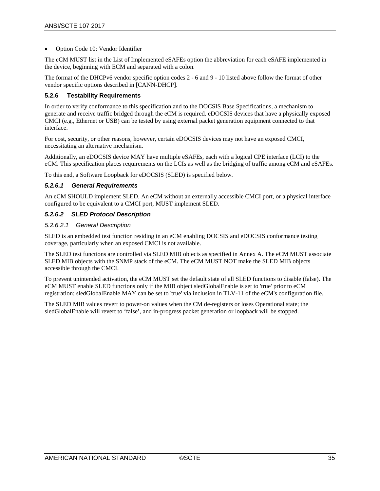• Option Code 10: Vendor Identifier

The eCM MUST list in the List of Implemented eSAFEs option the abbreviation for each eSAFE implemented in the device, beginning with ECM and separated with a colon.

The format of the DHCPv6 vendor specific option codes 2 - 6 and 9 - 10 listed above follow the format of other vendor specific options described in [\[CANN-DHCP\].](#page-6-20)

#### <span id="page-34-0"></span>**5.2.6 Testability Requirements**

In order to verify conformance to this specification and to the DOCSIS Base Specifications, a mechanism to generate and receive traffic bridged through the eCM is required. eDOCSIS devices that have a physically exposed CMCI (e.g., Ethernet or USB) can be tested by using external packet generation equipment connected to that interface.

For cost, security, or other reasons, however, certain eDOCSIS devices may not have an exposed CMCI, necessitating an alternative mechanism.

Additionally, an eDOCSIS device MAY have multiple eSAFEs, each with a logical CPE interface (LCI) to the eCM. This specification places requirements on the LCIs as well as the bridging of traffic among eCM and eSAFEs.

To this end, a Software Loopback for eDOCSIS (SLED) is specified below.

#### *5.2.6.1 General Requirements*

An eCM SHOULD implement SLED. An eCM without an externally accessible CMCI port, or a physical interface configured to be equivalent to a CMCI port, MUST implement SLED.

#### *5.2.6.2 SLED Protocol Description*

#### *5.2.6.2.1 General Description*

SLED is an embedded test function residing in an eCM enabling DOCSIS and eDOCSIS conformance testing coverage, particularly when an exposed CMCI is not available.

The SLED test functions are controlled via SLED MIB objects as specified i[n Annex A.](#page-43-0) The eCM MUST associate SLED MIB objects with the SNMP stack of the eCM. The eCM MUST NOT make the SLED MIB objects accessible through the CMCI.

To prevent unintended activation, the eCM MUST set the default state of all SLED functions to disable (false). The eCM MUST enable SLED functions only if the MIB object sledGlobalEnable is set to 'true' prior to eCM registration; sledGlobalEnable MAY can be set to 'true' via inclusion in TLV-11 of the eCM's configuration file.

The SLED MIB values revert to power-on values when the CM de-registers or loses Operational state; the sledGlobalEnable will revert to 'false', and in-progress packet generation or loopback will be stopped.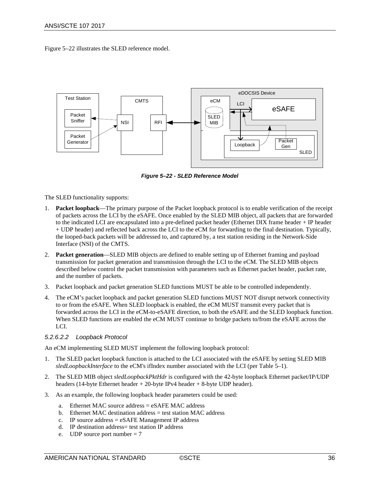[Figure](#page-35-0) 5–22 illustrates the SLED reference model.



*Figure 5–22 - SLED Reference Model*

<span id="page-35-0"></span>The SLED functionality supports:

- 1. **Packet loopback**—The primary purpose of the Packet loopback protocol is to enable verification of the receipt of packets across the LCI by the eSAFE. Once enabled by the SLED MIB object, all packets that are forwarded to the indicated LCI are encapsulated into a pre-defined packet header (Ethernet DIX frame header + IP header + UDP header) and reflected back across the LCI to the eCM for forwarding to the final destination. Typically, the looped-back packets will be addressed to, and captured by, a test station residing in the Network-Side Interface (NSI) of the CMTS.
- 2. **Packet generation**—SLED MIB objects are defined to enable setting up of Ethernet framing and payload transmission for packet generation and transmission through the LCI to the eCM. The SLED MIB objects described below control the packet transmission with parameters such as Ethernet packet header, packet rate, and the number of packets.
- 3. Packet loopback and packet generation SLED functions MUST be able to be controlled independently.
- 4. The eCM's packet loopback and packet generation SLED functions MUST NOT disrupt network connectivity to or from the eSAFE. When SLED loopback is enabled, the eCM MUST transmit every packet that is forwarded across the LCI in the eCM-to-eSAFE direction, to both the eSAFE and the SLED loopback function. When SLED functions are enabled the eCM MUST continue to bridge packets to/from the eSAFE across the LCI.

#### *5.2.6.2.2 Loopback Protocol*

An eCM implementing SLED MUST implement the following loopback protocol:

- 1. The SLED packet loopback function is attached to the LCI associated with the eSAFE by setting SLED MIB *sledLoopbackInterface* to the eCM's ifIndex number associated with the LCI (pe[r Table 5–1\)](#page-28-0).
- 2. The SLED MIB object *sledLoopbackPktHdr* is configured with the 42-byte loopback Ethernet packet/IP/UDP headers (14-byte Ethernet header + 20-byte IPv4 header + 8-byte UDP header).
- 3. As an example, the following loopback header parameters could be used:
	- a. Ethernet MAC source address = eSAFE MAC address
	- b. Ethernet MAC destination address = test station MAC address
	- c. IP source address = eSAFE Management IP address
	- d. IP destination address= test station IP address
	- e. UDP source port number = 7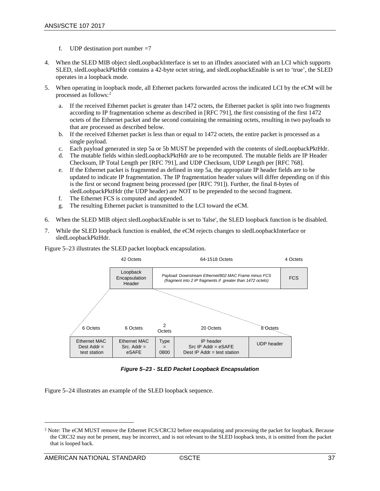- f. UDP destination port number  $=7$
- 4. When the SLED MIB object sledLoopbackInterface is set to an ifIndex associated with an LCI which supports SLED, sledLoopbackPktHdr contains a 42-byte octet string, and sledLoopbackEnable is set to 'true', the SLED operates in a loopback mode.
- 5. When operating in loopback mode, all Ethernet packets forwarded across the indicated LCI by the eCM will be processed as follows:[2](#page-36-1)
	- a. If the received Ethernet packet is greater than 1472 octets, the Ethernet packet is split into two fragments according to IP fragmentation scheme as described in [\[RFC](#page-7-18) 791], the first consisting of the first 1472 octets of the Ethernet packet and the second containing the remaining octets, resulting in two payloads to that are processed as described below.
	- b. If the received Ethernet packet is less than or equal to 1472 octets, the entire packet is processed as a single payload.
	- c. Each payload generated in step 5a or 5b MUST be prepended with the contents of sledLoopbackPktHdr.
	- d. The mutable fields within sledLoopbackPktHdr are to be recomputed. The mutable fields are IP Header Checksum, IP Total Length per [\[RFC](#page-7-18) 791], and UDP Checksum, UDP Length per [\[RFC](#page-7-19) 768].
	- e. If the Ethernet packet is fragmented as defined in step 5a, the appropriate IP header fields are to be updated to indicate IP fragmentation. The IP fragmentation header values will differ depending on if this is the first or second fragment being processed (per [\[RFC](#page-7-18) 791]). Further, the final 8-bytes of sledLoobpackPktHdr (the UDP header) are NOT to be prepended to the second fragment.
	- f. The Ethernet FCS is computed and appended.
	- g. The resulting Ethernet packet is transmitted to the LCI toward the eCM.
- 6. When the SLED MIB object sledLoopbackEnable is set to 'false', the SLED loopback function is be disabled.
- 7. While the SLED loopback function is enabled, the eCM rejects changes to sledLoopbackInterface or sledLoopbackPktHdr.

[Figure](#page-36-0) 5–23 illustrates the SLED packet loopback encapsulation.



*Figure 5–23 - SLED Packet Loopback Encapsulation*

<span id="page-36-0"></span>[Figure](#page-38-1) 5–24 illustrates an example of the SLED loopback sequence.

 $\overline{a}$ 

<span id="page-36-1"></span><sup>&</sup>lt;sup>2</sup> Note: The eCM MUST remove the Ethernet FCS/CRC32 before encapsulating and processing the packet for loopback. Because the CRC32 may not be present, may be incorrect, and is not relevant to the SLED loopback tests, it is omitted from the packet that is looped back.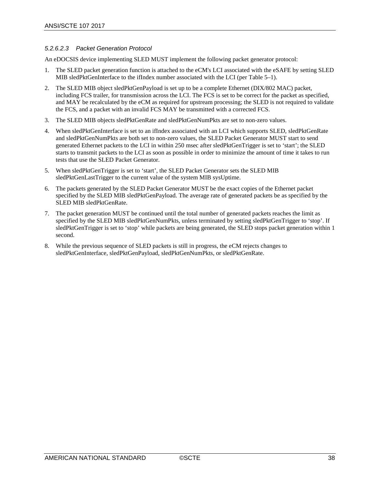#### *5.2.6.2.3 Packet Generation Protocol*

An eDOCSIS device implementing SLED MUST implement the following packet generator protocol:

- 1. The SLED packet generation function is attached to the eCM's LCI associated with the eSAFE by setting SLED MIB sledPktGenInterface to the ifIndex number associated with the LCI (pe[r Table 5–1\)](#page-28-0).
- 2. The SLED MIB object sledPktGenPayload is set up to be a complete Ethernet (DIX/802 MAC) packet, including FCS trailer, for transmission across the LCI. The FCS is set to be correct for the packet as specified, and MAY be recalculated by the eCM as required for upstream processing; the SLED is not required to validate the FCS, and a packet with an invalid FCS MAY be transmitted with a corrected FCS.
- 3. The SLED MIB objects sledPktGenRate and sledPktGenNumPkts are set to non-zero values.
- 4. When sledPktGenInterface is set to an ifIndex associated with an LCI which supports SLED, sledPktGenRate and sledPktGenNumPkts are both set to non-zero values, the SLED Packet Generator MUST start to send generated Ethernet packets to the LCI in within 250 msec after sledPktGenTrigger is set to 'start'; the SLED starts to transmit packets to the LCI as soon as possible in order to minimize the amount of time it takes to run tests that use the SLED Packet Generator.
- 5. When sledPktGenTrigger is set to 'start', the SLED Packet Generator sets the SLED MIB sledPktGenLastTrigger to the current value of the system MIB sysUptime.
- 6. The packets generated by the SLED Packet Generator MUST be the exact copies of the Ethernet packet specified by the SLED MIB sledPktGenPayload. The average rate of generated packets be as specified by the SLED MIB sledPktGenRate.
- 7. The packet generation MUST be continued until the total number of generated packets reaches the limit as specified by the SLED MIB sledPktGenNumPkts, unless terminated by setting sledPktGenTrigger to 'stop'. If sledPktGenTrigger is set to 'stop' while packets are being generated, the SLED stops packet generation within 1 second.
- 8. While the previous sequence of SLED packets is still in progress, the eCM rejects changes to sledPktGenInterface, sledPktGenPayload, sledPktGenNumPkts, or sledPktGenRate.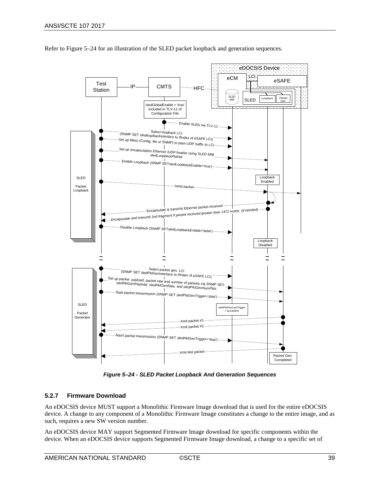

Refer to [Figure](#page-38-1) 5–24 for an illustration of the SLED packet loopback and generation sequences.

*Figure 5–24 - SLED Packet Loopback And Generation Sequences* 

#### <span id="page-38-1"></span><span id="page-38-0"></span>**5.2.7 Firmware Download**

An eDOCSIS device MUST support a Monolithic Firmware Image download that is used for the entire eDOCSIS device. A change to any component of a Monolithic Firmware Image constitutes a change to the entire image, and as such, requires a new SW version number.

An eDOCSIS device MAY support Segmented Firmware Image download for specific components within the device. When an eDOCSIS device supports Segmented Firmware Image download, a change to a specific set of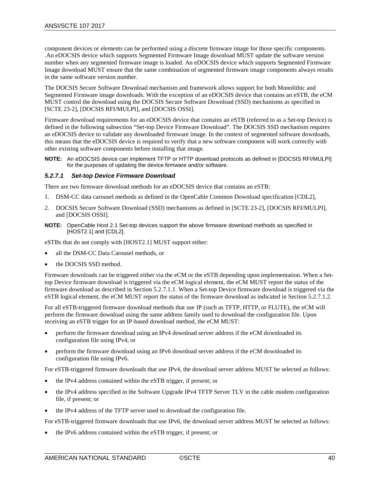component devices or elements can be performed using a discrete firmware image for those specific components. .An eDOCSIS device which supports Segmented Firmware Image download MUST update the software version number when any segmented firmware image is loaded. An eDOCSIS device which supports Segmented Firmware Image download MUST ensure that the same combination of segmented firmware image components always results in the same software version number.

The DOCSIS Secure Software Download mechanism and framework allows support for both Monolithic and Segmented Firmware image downloads. With the exception of an eDOCSIS device that contains an eSTB, the eCM MUST control the download using the DOCSIS Secure Software Download (SSD) mechanisms as specified in [\[SCTE 23-2\],](#page-6-21) [\[DOCSIS RFI/MULPI\],](#page-6-16) and [\[DOCSIS OSSI\].](#page-6-15)

Firmware download requirements for an eDOCSIS device that contains an eSTB (referred to as a Set-top Device) is defined in the following subsection "Set-top Device Firmware Download". The DOCSIS SSD mechanism requires an eDOCSIS device to validate any downloaded firmware image. In the context of segmented software downloads, this means that the eDOCSIS device is required to verify that a new software component will work correctly with other existing software components before installing that image.

**NOTE:** An eDOCSIS device can implement TFTP or HTTP download protocols as defined in [DOCSIS RFI/MULPI] for the purposes of updating the device firmware and/or software.

#### *5.2.7.1 Set-top Device Firmware Download*

There are two firmware download methods for an eDOCSIS device that contains an eSTB:

- 1. DSM-CC data carousel methods as defined in the OpenCable Common Download specification [\[CDL2\],](#page-6-22)
- 2. DOCSIS Secure Software Download (SSD) mechanisms as defined in [\[SCTE 23-2\],](#page-6-21) [\[DOCSIS RFI/MULPI\],](#page-6-16) and [\[DOCSIS OSSI\].](#page-6-15)
- **NOTE:** OpenCable Host 2.1 Set-top devices support the above firmware download methods as specified in [\[HOST2.1\]](#page-6-14) an[d \[CDL2\].](#page-6-22)

eSTBs that do not comply with [\[HOST2.1\]](#page-6-14) MUST support either:

- all the DSM-CC Data Carousel methods, or
- the DOCSIS SSD method.

Firmware downloads can be triggered either via the eCM or the eSTB depending upon implementation. When a Settop Device firmware download is triggered via the eCM logical element, the eCM MUST report the status of the firmware download as described in Section [5.2.7.1.1.](#page-40-0) When a Set-top Device firmware download is triggered via the eSTB logical element, the eCM MUST report the status of the firmware download as indicated in Section [5.2.7.1.2.](#page-40-1)

For all eSTB-triggered firmware download methods that use IP (such as TFTP, HTTP, or FLUTE), the eCM will perform the firmware download using the same address family used to download the configuration file. Upon receiving an eSTB trigger for an IP-based download method, the eCM MUST:

- perform the firmware download using an IPv4 download server address if the eCM downloaded its configuration file using IPv4, or
- perform the firmware download using an IPv6 download server address if the eCM downloaded its configuration file using IPv6.

For eSTB-triggered firmware downloads that use IPv4, the download server address MUST be selected as follows:

- the IPv4 address contained within the eSTB trigger, if present; or
- the IPv4 address specified in the Software Upgrade IPv4 TFTP Server TLV in the cable modem configuration file, if present; or
- the IPv4 address of the TFTP server used to download the configuration file.

For eSTB-triggered firmware downloads that use IPv6, the download server address MUST be selected as follows:

• the IPv6 address contained within the eSTB trigger, if present; or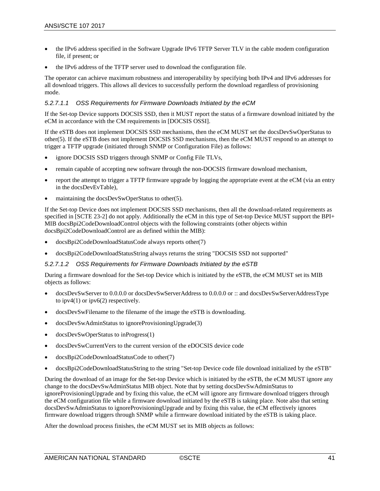- the IPv6 address specified in the Software Upgrade IPv6 TFTP Server TLV in the cable modem configuration file, if present; or
- the IPv6 address of the TFTP server used to download the configuration file.

The operator can achieve maximum robustness and interoperability by specifying both IPv4 and IPv6 addresses for all download triggers. This allows all devices to successfully perform the download regardless of provisioning mode.

#### <span id="page-40-0"></span>*5.2.7.1.1 OSS Requirements for Firmware Downloads Initiated by the eCM*

If the Set-top Device supports DOCSIS SSD, then it MUST report the status of a firmware download initiated by the eCM in accordance with the CM requirements in [\[DOCSIS OSSI\].](#page-6-15)

If the eSTB does not implement DOCSIS SSD mechanisms, then the eCM MUST set the docsDevSwOperStatus to other(5). If the eSTB does not implement DOCSIS SSD mechanisms, then the eCM MUST respond to an attempt to trigger a TFTP upgrade (initiated through SNMP or Configuration File) as follows:

- ignore DOCSIS SSD triggers through SNMP or Config File TLVs,
- remain capable of accepting new software through the non-DOCSIS firmware download mechanism,
- report the attempt to trigger a TFTP firmware upgrade by logging the appropriate event at the eCM (via an entry in the docsDevEvTable),
- maintaining the docsDevSwOperStatus to other(5).

If the Set-top Device does not implement DOCSIS SSD mechanisms, then all the download-related requirements as specified in [\[SCTE 23-2\]](#page-6-21) do not apply. Additionally the eCM in this type of Set-top Device MUST support the BPI+ MIB docsBpi2CodeDownloadControl objects with the following constraints (other objects within docsBpi2CodeDownloadControl are as defined within the MIB):

- docsBpi2CodeDownloadStatusCode always reports other(7)
- docsBpi2CodeDownloadStatusString always returns the string "DOCSIS SSD not supported"

#### <span id="page-40-1"></span>*5.2.7.1.2 OSS Requirements for Firmware Downloads Initiated by the eSTB*

During a firmware download for the Set-top Device which is initiated by the eSTB, the eCM MUST set its MIB objects as follows:

- docsDevSwServer to 0.0.0.0 or docsDevSwServerAddress to 0.0.0.0 or :: and docsDevSwServerAddressType to  $ipv4(1)$  or  $ipv6(2)$  respectively.
- docsDevSwFilename to the filename of the image the eSTB is downloading.
- docsDevSwAdminStatus to ignoreProvisioningUpgrade(3)
- docsDevSwOperStatus to inProgress(1)
- docsDevSwCurrentVers to the current version of the eDOCSIS device code
- docsBpi2CodeDownloadStatusCode to other(7)
- docsBpi2CodeDownloadStatusString to the string "Set-top Device code file download initialized by the eSTB"

During the download of an image for the Set-top Device which is initiated by the eSTB, the eCM MUST ignore any change to the docsDevSwAdminStatus MIB object. Note that by setting docsDevSwAdminStatus to ignoreProvisioningUpgrade and by fixing this value, the eCM will ignore any firmware download triggers through the eCM configuration file while a firmware download initiated by the eSTB is taking place. Note also that setting docsDevSwAdminStatus to ignoreProvisioningUpgrade and by fixing this value, the eCM effectively ignores firmware download triggers through SNMP while a firmware download initiated by the eSTB is taking place.

After the download process finishes, the eCM MUST set its MIB objects as follows: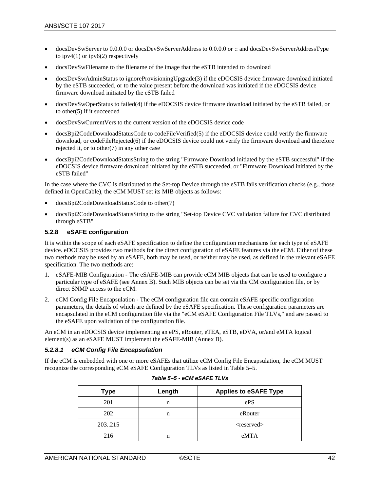- docsDevSwServer to 0.0.0.0 or docsDevSwServerAddress to 0.0.0.0 or :: and docsDevSwServerAddressType to  $ipv4(1)$  or  $ipv6(2)$  respectively
- docsDevSwFilename to the filename of the image that the eSTB intended to download
- docsDevSwAdminStatus to ignoreProvisioningUpgrade(3) if the eDOCSIS device firmware download initiated by the eSTB succeeded, or to the value present before the download was initiated if the eDOCSIS device firmware download initiated by the eSTB failed
- docsDevSwOperStatus to failed(4) if the eDOCSIS device firmware download initiated by the eSTB failed, or to other(5) if it succeeded
- docsDevSwCurrentVers to the current version of the eDOCSIS device code
- docsBpi2CodeDownloadStatusCode to codeFileVerified(5) if the eDOCSIS device could verify the firmware download, or codeFileRejected(6) if the eDOCSIS device could not verify the firmware download and therefore rejected it, or to other(7) in any other case
- docsBpi2CodeDownloadStatusString to the string "Firmware Download initiated by the eSTB successful" if the eDOCSIS device firmware download initiated by the eSTB succeeded, or "Firmware Download initiated by the eSTB failed"

In the case where the CVC is distributed to the Set-top Device through the eSTB fails verification checks (e.g., those defined in OpenCable), the eCM MUST set its MIB objects as follows:

- docsBpi2CodeDownloadStatusCode to other(7)
- docsBpi2CodeDownloadStatusString to the string "Set-top Device CVC validation failure for CVC distributed through eSTB"

#### <span id="page-41-0"></span>**5.2.8 eSAFE configuration**

It is within the scope of each eSAFE specification to define the configuration mechanisms for each type of eSAFE device. eDOCSIS provides two methods for the direct configuration of eSAFE features via the eCM. Either of these two methods may be used by an eSAFE, both may be used, or neither may be used, as defined in the relevant eSAFE specification. The two methods are:

- 1. eSAFE-MIB Configuration The eSAFE-MIB can provide eCM MIB objects that can be used to configure a particular type of eSAFE (see [Annex B\)](#page-48-0). Such MIB objects can be set via the CM configuration file, or by direct SNMP access to the eCM.
- 2. eCM Config File Encapsulation The eCM configuration file can contain eSAFE specific configuration parameters, the details of which are defined by the eSAFE specification. These configuration parameters are encapsulated in the eCM configuration file via the "eCM eSAFE Configuration File TLVs," and are passed to the eSAFE upon validation of the configuration file.

An eCM in an eDOCSIS device implementing an ePS, eRouter, eTEA, eSTB, eDVA, or/and eMTA logical element(s) as an eSAFE MUST implement the eSAFE-MIB [\(Annex B\)](#page-48-0).

#### *5.2.8.1 eCM Config File Encapsulation*

<span id="page-41-1"></span>If the eCM is embedded with one or more eSAFEs that utilize eCM Config File Encapsulation, the eCM MUST recognize the corresponding eCM eSAFE Configuration TLVs as listed in [Table 5–5.](#page-41-1)

| <b>Type</b> | <b>Applies to eSAFE Type</b><br>Length |                  |  |
|-------------|----------------------------------------|------------------|--|
| 201         | n                                      | ePS              |  |
| 202         | n                                      | eRouter          |  |
| 203215      |                                        | $<$ reserved $>$ |  |
| 216         | n                                      | eMTA             |  |

| Table 5–5 - eCM eSAFE TLVs |  |  |  |  |  |
|----------------------------|--|--|--|--|--|
|----------------------------|--|--|--|--|--|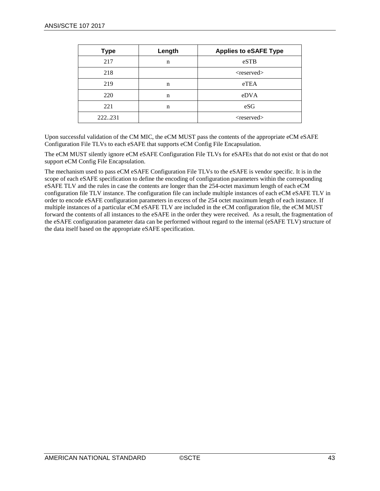| <b>Type</b> | Length      | <b>Applies to eSAFE Type</b> |
|-------------|-------------|------------------------------|
| 217         | n           | eSTB                         |
| 218         |             | <reserved></reserved>        |
| 219         | n           | eTEA                         |
| 220         | $\mathbf n$ | eDVA                         |
| 221         | n           | eSG                          |
| 222231      |             | $<$ reserved $>$             |

Upon successful validation of the CM MIC, the eCM MUST pass the contents of the appropriate eCM eSAFE Configuration File TLVs to each eSAFE that supports eCM Config File Encapsulation.

The eCM MUST silently ignore eCM eSAFE Configuration File TLVs for eSAFEs that do not exist or that do not support eCM Config File Encapsulation.

The mechanism used to pass eCM eSAFE Configuration File TLVs to the eSAFE is vendor specific. It is in the scope of each eSAFE specification to define the encoding of configuration parameters within the corresponding eSAFE TLV and the rules in case the contents are longer than the 254-octet maximum length of each eCM configuration file TLV instance. The configuration file can include multiple instances of each eCM eSAFE TLV in order to encode eSAFE configuration parameters in excess of the 254 octet maximum length of each instance. If multiple instances of a particular eCM eSAFE TLV are included in the eCM configuration file, the eCM MUST forward the contents of all instances to the eSAFE in the order they were received. As a result, the fragmentation of the eSAFE configuration parameter data can be performed without regard to the internal (eSAFE TLV) structure of the data itself based on the appropriate eSAFE specification.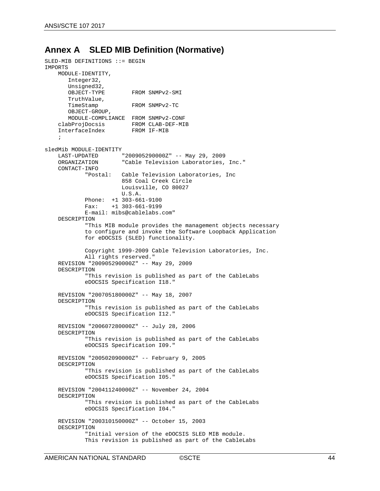## <span id="page-43-0"></span>**Annex A SLED MIB Definition (Normative)**

```
SLED-MIB DEFINITIONS ::= BEGIN
IMPORTS
     MODULE-IDENTITY,
        Integer32,
       Unsigned32,<br>OBJECT-TYPE
                             FROM SNMPv2-SMI
       TruthValue,<br>TimeStamp
                             FROM SNMPv2-TC
         OBJECT-GROUP,
    MODULE-COMPLIANCE FROM SNMPv2-CONF<br>clabProjDocsis FROM CLAB-DEF-MI
                             FROM CLAB-DEF-MIB<br>FROM IF-MIB
    InterfaceIndex
\mathcal{L} ; \mathcal{L}sledMib MODULE-IDENTITY<br>LAST-UPDATED
    LAST-UPDATED "2009052900002" -- May 29, 2009<br>ORGANIZATION "Cable Television Laboratories,
                          "Cable Television Laboratories, Inc."
     CONTACT-INFO 
              "Postal: Cable Television Laboratories, Inc 
                           858 Coal Creek Circle
                          Louisville, CO 80027
                          U.S.A.
             Phone: +1 303-661-9100<br>Fax: +1 303-661-9199
                       Fax: +1 303-661-9199
              E-mail: mibs@cablelabs.com"
     DESCRIPTION
               "This MIB module provides the management objects necessary
              to configure and invoke the Software Loopback Application 
              for eDOCSIS (SLED) functionality.
              Copyright 1999-2009 Cable Television Laboratories, Inc.
              All rights reserved."
     REVISION "200905290000Z" -- May 29, 2009
     DESCRIPTION
               "This revision is published as part of the CableLabs
              eDOCSIS Specification I18."
     REVISION "200705180000Z" -- May 18, 2007
     DESCRIPTION
               "This revision is published as part of the CableLabs
               eDOCSIS Specification I12."
     REVISION "200607280000Z" -- July 28, 2006
     DESCRIPTION
               "This revision is published as part of the CableLabs
              eDOCSIS Specification I09."
     REVISION "200502090000Z" -- February 9, 2005
     DESCRIPTION
               "This revision is published as part of the CableLabs
              eDOCSIS Specification I05."
     REVISION "200411240000Z" -- November 24, 2004
     DESCRIPTION
               "This revision is published as part of the CableLabs
               eDOCSIS Specification I04."
     REVISION "200310150000Z" -- October 15, 2003
     DESCRIPTION
               "Initial version of the eDOCSIS SLED MIB module.
              This revision is published as part of the CableLabs
```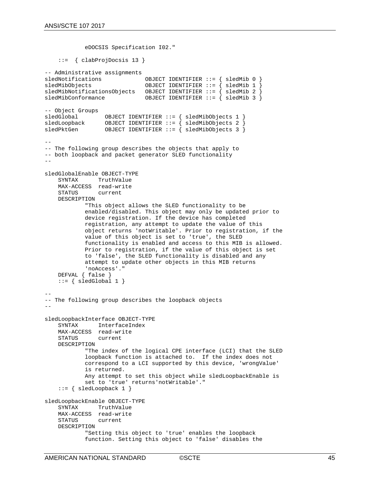eDOCSIS Specification I02."

```
 ::= { clabProjDocsis 13 }
```

```
-- Administrative assignments<br>sledNotifications
sledNotifications OBJECT IDENTIFIER ::= { sledMib 0 }
                               OBJECT IDENTIFIER ::= { sledMib 1 }sledMibNotificationsObjects OBJECT IDENTIFIER ::= { sledMib 2 }
                               OBJECT IDENTIFIER ::= { sledMib 3 }
-- Object Groups
sledGlobal OBJECT IDENTIFIER ::= { sledMibObjects 1 }
sledLoopback OBJECT IDENTIFIER ::= { sledMibObjects 2 }<br>sledPktGen OBJECT IDENTIFIER ::= { sledMibObjects 3 }
                  OBJECT IDENTIFIER ::= \{ sledMibObjects 3 \}--
-- The following group describes the objects that apply to
-- both loopback and packet generator SLED functionality
-sledGlobalEnable OBJECT-TYPE
                TruthValue
    MAX-ACCESS read-write
                current
    DESCRIPTION
             "This object allows the SLED functionality to be 
             enabled/disabled. This object may only be updated prior to
             device registration. If the device has completed
             registration, any attempt to update the value of this
             object returns 'notWritable'. Prior to registration, if the
             value of this object is set to 'true', the SLED
             functionality is enabled and access to this MIB is allowed.
             Prior to registration, if the value of this object is set
             to 'false', the SLED functionality is disabled and any
             attempt to update other objects in this MIB returns
             'noAccess'."
     DEFVAL { false }
    ::= { sledGlobal 1 }
--
-- The following group describes the loopback objects 
--
sledLoopbackInterface OBJECT-TYPE
               InterfaceIndex
    MAX-ACCESS read-write<br>STATUS current
               current
    DESCRIPTION
             "The index of the logical CPE interface (LCI) that the SLED
             loopback function is attached to. If the index does not
             correspond to a LCI supported by this device, 'wrongValue'
             is returned.
             Any attempt to set this object while sledLoopbackEnable is
             set to 'true' returns'notWritable'."
     ::= { sledLoopback 1 }
sledLoopbackEnable OBJECT-TYPE
              TruthValue
     MAX-ACCESS read-write
     STATUS current
     DESCRIPTION
             "Setting this object to 'true' enables the loopback
             function. Setting this object to 'false' disables the
```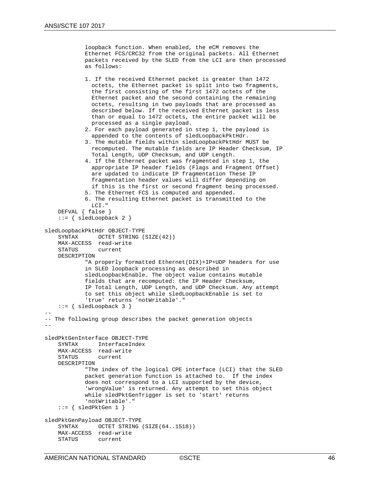```
 loopback function. When enabled, the eCM removes the
             Ethernet FCS/CRC32 from the original packets. All Ethernet
             packets received by the SLED from the LCI are then processed
             as follows:
             1. If the received Ethernet packet is greater than 1472
               octets, the Ethernet packet is split into two fragments,
               the first consisting of the first 1472 octets of the
               Ethernet packet and the second containing the remaining
               octets, resulting in two payloads that are processed as
               described below. If the received Ethernet packet is less
               than or equal to 1472 octets, the entire packet will be
               processed as a single payload. 
             2. For each payload generated in step 1, the payload is 
               appended to the contents of sledLoopbackPktHdr.
             3. The mutable fields within sledLoopbackPktHdr MUST be 
               recomputed. The mutable fields are IP Header Checksum, IP
               Total Length, UDP Checksum, and UDP Length.
             4. If the Ethernet packet was fragmented in step 1, the 
               appropriate IP header fields (Flags and Fragment Offset) 
               are updated to indicate IP fragmentation These IP
               fragmentation header values will differ depending on
               if this is the first or second fragment being processed.
             5. The Ethernet FCS is computed and appended.
             6. The resulting Ethernet packet is transmitted to the
               LCI."
     DEFVAL { false }
     ::= { sledLoopback 2 }
sledLoopbackPktHdr OBJECT-TYPE
    SYNTAX OCTET STRING (SIZE(42))
     MAX-ACCESS read-write
                current
     DESCRIPTION
             "A properly formatted Ethernet(DIX)+IP+UDP headers for use
             in SLED loopback processing as described in
             sledLoopbackEnable. The object value contains mutable
             fields that are recomputed: the IP Header Checksum,
             IP Total Length, UDP Length, and UDP Checksum. Any attempt
             to set this object while sledLoopbackEnable is set to
             'true' returns 'notWritable'."
    ::= { sledLoopback 3 }
--
-- The following group describes the packet generation objects 
--
sledPktGenInterface OBJECT-TYPE
     SYNTAX InterfaceIndex
    MAX-ACCESS read-write<br>STATUS current
               current
     DESCRIPTION
             "The index of the logical CPE interface (LCI) that the SLED
             packet generation function is attached to. If the index
             does not correspond to a LCI supported by the device,
             'wrongValue' is returned. Any attempt to set this object
             while sledPktGenTrigger is set to 'start' returns
             'notWritable'."
    ::= { sledPktGen 1 }
sledPktGenPayload OBJECT-TYPE
               OCTET STRING (SIZE(64..1518))
    MAX-ACCESS read-write<br>STATUS current
```
current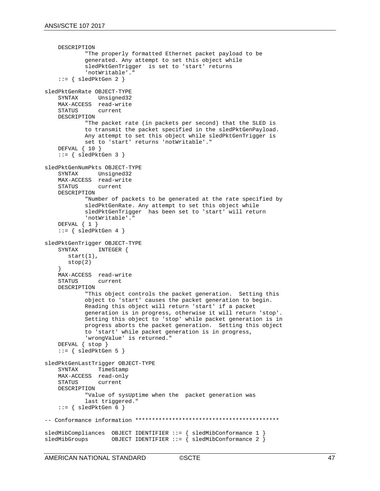```
 DESCRIPTION
              "The properly formatted Ethernet packet payload to be
              generated. Any attempt to set this object while
              sledPktGenTrigger is set to 'start' returns
              'notWritable'."
    ::= { sledPktGen 2 }
sledPktGenRate OBJECT-TYPE<br>SYNTAX Unsigned32
                 Unsigned32
    MAX-ACCESS read-write<br>STATUS current
                 current
     DESCRIPTION
              "The packet rate (in packets per second) that the SLED is
              to transmit the packet specified in the sledPktGenPayload.
              Any attempt to set this object while sledPktGenTrigger is
              set to 'start' returns 'notWritable'."
     DEFVAL { 10 }
    ::= { sledPktGen 3 }
sledPktGenNumPkts OBJECT-TYPE
             Unsigned32
    MAX-ACCESS read-write<br>STATUS current
    STATUS
     DESCRIPTION
              "Number of packets to be generated at the rate specified by
              sledPktGenRate. Any attempt to set this object while
              sledPktGenTrigger has been set to 'start' will return
              'notWritable'."
     DEFVAL { 1 }
    ::= { sledPktGen 4 }
sledPktGenTrigger OBJECT-TYPE<br>SYNTAX INTEGER {
                 INTEGER {
        start(1),
        stop(2)
 } 
    MAX-ACCESS read-write<br>STATUS current
    STATUS
     DESCRIPTION
              "This object controls the packet generation. Setting this
              object to 'start' causes the packet generation to begin.
              Reading this object will return 'start' if a packet
              generation is in progress, otherwise it will return 'stop'.
              Setting this object to 'stop' while packet generation is in
              progress aborts the packet generation. Setting this object
              to 'start' while packet generation is in progress,
              'wrongValue' is returned."
     DEFVAL { stop }
    ::= { sledPktGen 5 }
sledPktGenLastTrigger OBJECT-TYPE
                 TimeStamp
    MAX-ACCESS read-only<br>STATUS current
                 current
     DESCRIPTION
              "Value of sysUptime when the packet generation was
              last triggered."
    ::= { sledPktGen 6 }
-- Conformance information *******************************************
sledMibCompliances OBJECT IDENTIFIER ::= { sledMibConformance 1 }<br>sledMibGroups 0BJECT IDENTIFIER ::= { sledMibConformance 2 }
                      OBJECT IDENTIFIER ::= { sledMibConformance 2 }
```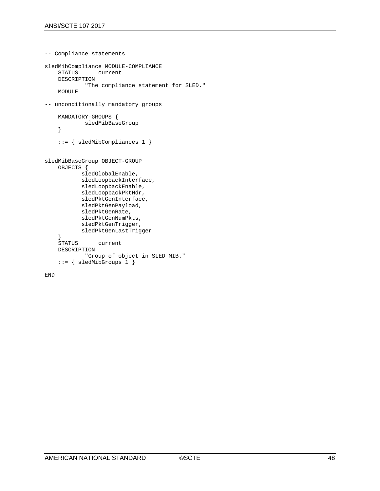```
-- Compliance statements
sledMibCompliance MODULE-COMPLIANCE
              current
     DESCRIPTION
             "The compliance statement for SLED."
     MODULE
-- unconditionally mandatory groups
     MANDATORY-GROUPS {
             sledMibBaseGroup
     }
     ::= { sledMibCompliances 1 }
sledMibBaseGroup OBJECT-GROUP
     OBJECTS {
            sledGlobalEnable,
            sledLoopbackInterface,
            sledLoopbackEnable,
            sledLoopbackPktHdr,
            sledPktGenInterface,
            sledPktGenPayload,
            sledPktGenRate,
            sledPktGenNumPkts, 
            sledPktGenTrigger, 
            sledPktGenLastTrigger 
    }<br>STATUS
                current
     DESCRIPTION
             "Group of object in SLED MIB."
     ::= { sledMibGroups 1 }
```

```
END
```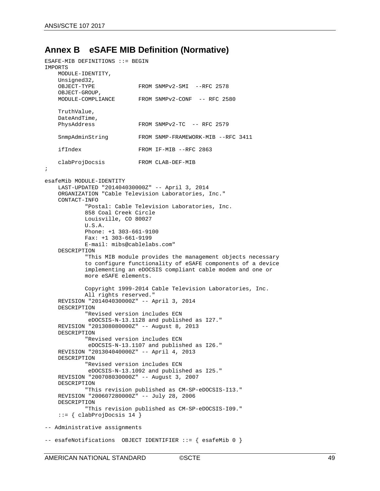## <span id="page-48-0"></span>**Annex B eSAFE MIB Definition (Normative)**

```
ESAFE-MIB DEFINITIONS ::= BEGIN
IMPORTS
    MODULE-IDENTITY,
   Unsigned32,<br>OBJECT-TYPE
                            FROM SNMPv2-SMI --RFC 2578
   OBJECT-GROUP,<br>MODULE-COMPLIANCE
                            FROM SNMPv2-CONF -- RFC 2580
     TruthValue,
    DateAndTime,<br>PhysAddress
                             FROM SNMPv2-TC - RFC 2579
     SnmpAdminString FROM SNMP-FRAMEWORK-MIB --RFC 3411
     ifIndex FROM IF-MIB --RFC 2863
    clabProjDocsis FROM CLAB-DEF-MIB
;
esafeMib MODULE-IDENTITY
     LAST-UPDATED "201404030000Z" -- April 3, 2014
     ORGANIZATION "Cable Television Laboratories, Inc."
     CONTACT-INFO
             "Postal: Cable Television Laboratories, Inc.
             858 Coal Creek Circle
             Louisville, CO 80027
             U.S.A.
             Phone: +1 303-661-9100
             Fax: +1 303-661-9199
             E-mail: mibs@cablelabs.com"
     DESCRIPTION
             "This MIB module provides the management objects necessary
             to configure functionality of eSAFE components of a device
             implementing an eDOCSIS compliant cable modem and one or 
             more eSAFE elements.
             Copyright 1999-2014 Cable Television Laboratories, Inc.
             All rights reserved."
     REVISION "201404030000Z" -- April 3, 2014
     DESCRIPTION
             "Revised version includes ECN
              eDOCSIS-N-13.1128 and published as I27." 
    REVISION "201308080000Z" -- August 8, 2013
    DESCRIPTION
             "Revised version includes ECN
              eDOCSIS-N-13.1107 and published as I26."
    REVISION "201304040000Z" -- April 4, 2013
     DESCRIPTION
             "Revised version includes ECN
              eDOCSIS-N-13.1092 and published as I25."
     REVISION "200708030000Z" -- August 3, 2007
     DESCRIPTION
             "This revision published as CM-SP-eDOCSIS-I13."
     REVISION "200607280000Z" -- July 28, 2006
     DESCRIPTION
             "This revision published as CM-SP-eDOCSIS-I09."
     ::= { clabProjDocsis 14 }
-- Administrative assignments
-- esafeNotifications OBJECT IDENTIFIER ::= { esafeMib 0 }
```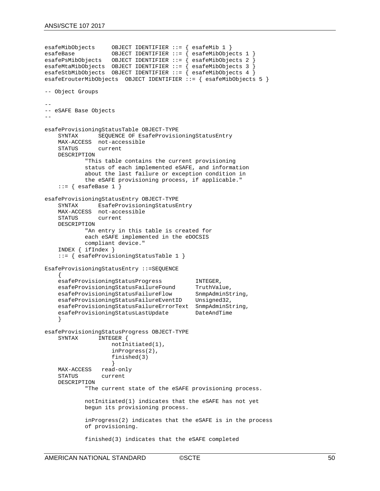```
esafeMibObjects OBJECT IDENTIFIER ::= { esafeMib 1 }
                      OBJECT IDENTIFIER ::= { esafeMibObjects 1 }
esafePsMibObjects OBJECT IDENTIFIER ::= { esafeMibObjects 2 }
esafeMtaMibObjects OBJECT IDENTIFIER ::= { esafeMibObjects 3 }
esafeStbMibObjects OBJECT IDENTIFIER ::= { esafeMibObjects 4 }
esafeErouterMibObjects OBJECT IDENTIFIER ::= { esafeMibObjects 5 }
-- Object Groups
--
-- eSAFE Base Objects
--
esafeProvisioningStatusTable OBJECT-TYPE<br>SEQUENCE OF EsafeProvisi
                SEQUENCE OF EsafeProvisioningStatusEntry
    MAX-ACCESS not-accessible<br>STATUS current
                 current
     DESCRIPTION
              "This table contains the current provisioning
              status of each implemented eSAFE, and information 
              about the last failure or exception condition in 
               the eSAFE provisioning process, if applicable."
    ::= { esafeBase 1 }
esafeProvisioningStatusEntry OBJECT-TYPE
     SYNTAX EsafeProvisioningStatusEntry
    MAX-ACCESS not-accessible<br>STATUS current
                 current
     DESCRIPTION
              "An entry in this table is created for
              each eSAFE implemented in the eDOCSIS
              compliant device."
     INDEX { ifIndex }
     ::= { esafeProvisioningStatusTable 1 }
EsafeProvisioningStatusEntry ::=SEQUENCE
\mathcal{A}esafeProvisioningStatusProgress INTEGER,<br>esafeProvisioningStatusFailureFound TruthValue,
    esafeProvisioningStatusFailureFound TruthValue,<br>esafeProvisioningStatusFailureFlow SnmpAdminString,
    esafeProvisioningStatusFailureFlow SnmpAdminSt<br>esafeProvisioningStatusFailureEventID Unsigned32,
    esafeProvisioningStatusFailureEventID
    esafeProvisioningStatusFailureErrorText SnmpAdminString,<br>esafeProvisioningStatusLastUpdate DateAndTime
    esafeProvisioningStatusLastUpdate
 }
esafeProvisioningStatusProgress OBJECT-TYPE<br>SYNTAX INTEGER {
                  INTEGER {
                        notInitiated(1),
                       inProgress(2),
                       finished(3)
                   read-only
    MAX-ACCESS
     STATUS current
     DESCRIPTION
               "The current state of the eSAFE provisioning process.
              notInitiated(1) indicates that the eSAFE has not yet
              begun its provisioning process.
               inProgress(2) indicates that the eSAFE is in the process
              of provisioning.
               finished(3) indicates that the eSAFE completed
```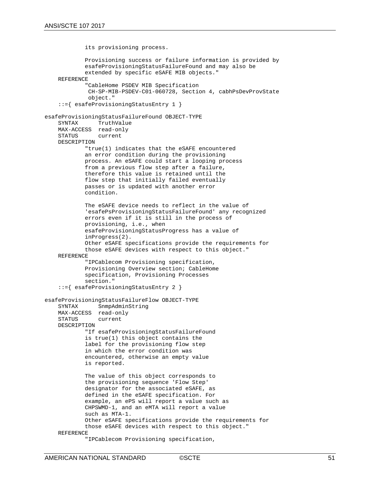```
 its provisioning process.
             Provisioning success or failure information is provided by
             esafeProvisioningStatusFailureFound and may also be
             extended by specific eSAFE MIB objects."
     REFERENCE
             "CableHome PSDEV MIB Specification 
              CH-SP-MIB-PSDEV-C01-060728, Section 4, cabhPsDevProvState
              object."
     ::={ esafeProvisioningStatusEntry 1 }
esafeProvisioningStatusFailureFound OBJECT-TYPE
              TruthValue
    MAX-ACCESS read-only<br>STATUS current
                current
     DESCRIPTION
             "true(1) indicates that the eSAFE encountered
             an error condition during the provisioning
             process. An eSAFE could start a looping process
             from a previous flow step after a failure,
             therefore this value is retained until the 
             flow step that initially failed eventually
             passes or is updated with another error
             condition.
             The eSAFE device needs to reflect in the value of 
             'esafePsProvisioningStatusFailureFound' any recognized 
             errors even if it is still in the process of 
             provisioning, i.e., when 
             esafeProvisioningStatusProgress has a value of 
             inProgress(2).
             Other eSAFE specifications provide the requirements for
             those eSAFE devices with respect to this object."
     REFERENCE
             "IPCablecom Provisioning specification,
             Provisioning Overview section; CableHome
             specification, Provisioning Processes
             section."
     ::={ esafeProvisioningStatusEntry 2 }
esafeProvisioningStatusFailureFlow OBJECT-TYPE
               SnmpAdminString
    MAX-ACCESS read-only<br>STATUS current
                current
     DESCRIPTION
             "If esafeProvisioningStatusFailureFound
             is true(1) this object contains the 
             label for the provisioning flow step
             in which the error condition was
             encountered, otherwise an empty value 
             is reported.
             The value of this object corresponds to
             the provisioning sequence 'Flow Step' 
             designator for the associated eSAFE, as
             defined in the eSAFE specification. For
             example, an ePS will report a value such as
             CHPSWMD-1, and an eMTA will report a value
             such as MTA-1.
             Other eSAFE specifications provide the requirements for 
             those eSAFE devices with respect to this object."
     REFERENCE
             "IPCablecom Provisioning specification,
```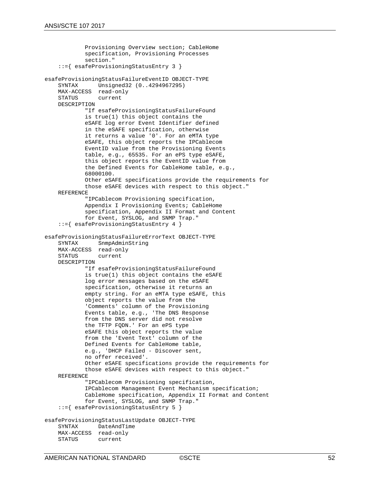```
 Provisioning Overview section; CableHome
              specification, Provisioning Processes
              section."
     ::={ esafeProvisioningStatusEntry 3 }
esafeProvisioningStatusFailureEventID OBJECT-TYPE<br>SYNTAX Unsigned32 (0..4294967295)
              Unsigned32 (0..4294967295)
    MAX-ACCESS read-only<br>STATUS current
                 current
     DESCRIPTION
             "If esafeProvisioningStatusFailureFound
             is true(1) this object contains the 
             eSAFE log error Event Identifier defined
             in the eSAFE specification, otherwise
             it returns a value '0'. For an eMTA type
             eSAFE, this object reports the IPCablecom
             EventID value from the Provisioning Events
             table, e.g., 65535. For an ePS type eSAFE, 
             this object reports the EventID value from 
             the Defined Events for CableHome table, e.g.,
              68000100.
             Other eSAFE specifications provide the requirements for 
             those eSAFE devices with respect to this object."
     REFERENCE
              "IPCablecom Provisioning specification,
             Appendix I Provisioning Events; CableHome
             specification, Appendix II Format and Content
             for Event, SYSLOG, and SNMP Trap."
     ::={ esafeProvisioningStatusEntry 4 }
esafeProvisioningStatusFailureErrorText OBJECT-TYPE
                 SnmpAdminString
    MAX-ACCESS read-only<br>STATUS current
                current
     DESCRIPTION
              "If esafeProvisioningStatusFailureFound
              is true(1) this object contains the eSAFE
              log error messages based on the eSAFE
              specification, otherwise it returns an
              empty string. For an eMTA type eSAFE, this
             object reports the value from the
              'Comments' column of the Provisioning
             Events table, e.g., 'The DNS Response
             from the DNS server did not resolve
              the TFTP FQDN.' For an ePS type
             eSAFE this object reports the value
             from the 'Event Text' column of the 
             Defined Events for CableHome table, 
             e.g., 'DHCP Failed - Discover sent, 
             no offer received'.
             Other eSAFE specifications provide the requirements for 
             those eSAFE devices with respect to this object."
     REFERENCE
              "IPCablecom Provisioning specification,
             IPCablecom Management Event Mechanism specification; 
             CableHome specification, Appendix II Format and Content
             for Event, SYSLOG, and SNMP Trap."
     ::={ esafeProvisioningStatusEntry 5 }
esafeProvisioningStatusLastUpdate OBJECT-TYPE
                DateAndTime
    MAX-ACCESS read-only<br>STATUS current
                 current
```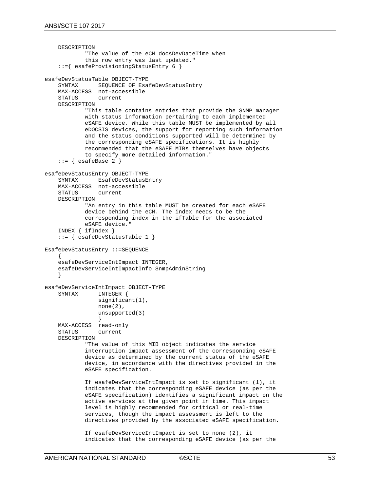```
 DESCRIPTION
             "The value of the eCM docsDevDateTime when
             this row entry was last updated."
     ::={ esafeProvisioningStatusEntry 6 }
esafeDevStatusTable OBJECT-TYPE<br>SYNTAX SEOUENCE OF ESA
               SEQUENCE OF EsafeDevStatusEntry
    MAX-ACCESS not-accessible<br>STATUS current
                current
     DESCRIPTION
             "This table contains entries that provide the SNMP manager
             with status information pertaining to each implemented
             eSAFE device. While this table MUST be implemented by all
             eDOCSIS devices, the support for reporting such information
             and the status conditions supported will be determined by
             the corresponding eSAFE specifications. It is highly 
             recommended that the eSAFE MIBs themselves have objects 
             to specify more detailed information."
    ::= { esafeBase 2 }
esafeDevStatusEntry OBJECT-TYPE
                EsafeDevStatusEntry
    MAX-ACCESS not-accessible<br>STATUS current
                current.
     DESCRIPTION
             "An entry in this table MUST be created for each eSAFE
             device behind the eCM. The index needs to be the
             corresponding index in the ifTable for the associated
             eSAFE device."
     INDEX { ifIndex }
     ::= { esafeDevStatusTable 1 }
EsafeDevStatusEntry ::=SEQUENCE
\mathcal{L} esafeDevServiceIntImpact INTEGER,
     esafeDevServiceIntImpactInfo SnmpAdminString
 }
esafeDevServiceIntImpact OBJECT-TYPE<br>SYNTAX INTEGER {
                INTEGER {
                significant(1),
                none(2),
                 unsupported(3)
 }
 MAX-ACCESS read-only
     STATUS current
     DESCRIPTION
             "The value of this MIB object indicates the service
             interruption impact assessment of the corresponding eSAFE
             device as determined by the current status of the eSAFE
             device, in accordance with the directives provided in the
             eSAFE specification. 
             If esafeDevServiceIntImpact is set to significant (1), it 
             indicates that the corresponding eSAFE device (as per the
             eSAFE specification) identifies a significant impact on the
             active services at the given point in time. This impact
             level is highly recommended for critical or real-time
             services, though the impact assessment is left to the
             directives provided by the associated eSAFE specification.
             If esafeDevServiceIntImpact is set to none (2), it
```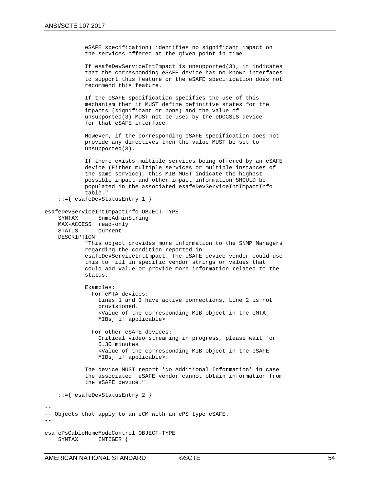eSAFE specification) identifies no significant impact on the services offered at the given point in time.

 If esafeDevServiceIntImpact is unsupported(3), it indicates that the corresponding eSAFE device has no known interfaces to support this feature or the eSAFE specification does not recommend this feature.

 If the eSAFE specification specifies the use of this mechanism then it MUST define definitive states for the impacts (significant or none) and the value of unsupported(3) MUST not be used by the eDOCSIS device for that eSAFE interface.

 However, if the corresponding eSAFE specification does not provide any directives then the value MUST be set to unsupported(3).

 If there exists multiple services being offered by an eSAFE device (Either multiple services or multiple instances of the same service), this MIB MUST indicate the highest possible impact and other impact information SHOULD be populated in the associated esafeDevServiceIntImpactInfo table."

```
 ::={ esafeDevStatusEntry 1 }
```

```
esafeDevServiceIntImpactInfo OBJECT-TYPE
```
SnmpAdminString MAX-ACCESS read-only<br>STATUS current current DESCRIPTION "This object provides more information to the SNMP Managers regarding the condition reported in

 esafeDevServiceIntImpact. The eSAFE device vendor could use this to fill in specific vendor strings or values that could add value or provide more information related to the status.

 Examples: For eMTA devices: Lines 1 and 3 have active connections, Line 2 is not provisioned. <Value of the corresponding MIB object in the eMTA MIBs, if applicable>

 For other eSAFE devices: Critical video streaming in progress, please wait for 5.30 minutes <Value of the corresponding MIB object in the eSAFE MIBs, if applicable>.

 The device MUST report 'No Additional Information' in case the associated eSAFE vendor cannot obtain information from the eSAFE device."

::={ esafeDevStatusEntry 2 }

--

```
-- Objects that apply to an eCM with an ePS type eSAFE.
--
```

```
esafePsCableHomeModeControl OBJECT-TYPE<br>SYNTAX INTEGER {
                      INTEGER {
```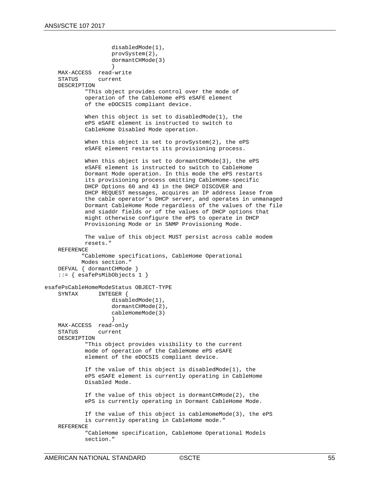```
 disabledMode(1),
                     provSystem(2),
                     dormantCHMode(3)
                     }
 MAX-ACCESS read-write
     STATUS current
     DESCRIPTION
             "This object provides control over the mode of 
             operation of the CableHome ePS eSAFE element 
             of the eDOCSIS compliant device. 
             When this object is set to disabledMode(1), the 
             ePS eSAFE element is instructed to switch to
             CableHome Disabled Mode operation. 
            When this object is set to provSystem(2), the ePS
             eSAFE element restarts its provisioning process.
            When this object is set to dormantCHMode(3), the ePS
             eSAFE element is instructed to switch to CableHome
             Dormant Mode operation. In this mode the ePS restarts
             its provisioning process omitting CableHome-specific 
             DHCP Options 60 and 43 in the DHCP DISCOVER and 
             DHCP REQUEST messages, acquires an IP address lease from 
             the cable operator's DHCP server, and operates in unmanaged
             Dormant CableHome Mode regardless of the values of the file
             and siaddr fields or of the values of DHCP options that
             might otherwise configure the ePS to operate in DHCP
             Provisioning Mode or in SNMP Provisioning Mode.
             The value of this object MUST persist across cable modem
             resets."
     REFERENCE
            "CableHome specifications, CableHome Operational 
            Modes section."
     DEFVAL { dormantCHMode }
     ::= { esafePsMibObjects 1 }
esafePsCableHomeModeStatus OBJECT-TYPE<br>SYNTAX INTEGER {
                INTEGER {
                      disabledMode(1),
                     dormantCHMode(2),
                     cableHomeMode(3)
                     }
    MAX-ACCESS read-only<br>STATUS current
                current
     DESCRIPTION
             "This object provides visibility to the current 
             mode of operation of the CableHome ePS eSAFE 
             element of the eDOCSIS compliant device. 
             If the value of this object is disabledMode(1), the 
             ePS eSAFE element is currently operating in CableHome
             Disabled Mode. 
             If the value of this object is dormantCHMode(2), the 
             ePS is currently operating in Dormant CableHome Mode.
             If the value of this object is cableHomeMode(3), the ePS 
             is currently operating in CableHome mode."
     REFERENCE
             "CableHome specification, CableHome Operational Models
             section."
```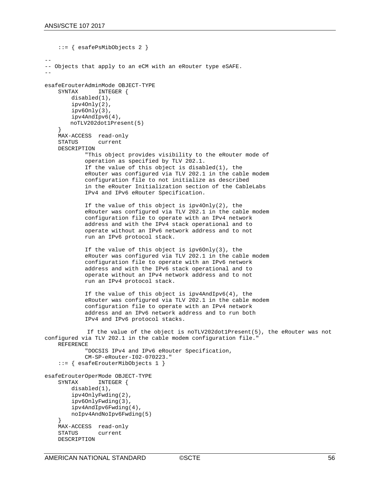```
 ::= { esafePsMibObjects 2 }
--
-- Objects that apply to an eCM with an eRouter type eSAFE.
--
esafeErouterAdminMode OBJECT-TYPE<br>SYNTAX TNTEGER {
                 INTEGER {
         disabled(1),
         ipv4Only(2),
         ipv6Only(3),
         ipv4AndIpv6(4),
        noTLV202dot1Present(5)
     }
    MAX-ACCESS read-only<br>STATUS current
                current
     DESCRIPTION
             "This object provides visibility to the eRouter mode of 
             operation as specified by TLV 202.1.
             If the value of this object is disabled(1), the
             eRouter was configured via TLV 202.1 in the cable modem
             configuration file to not initialize as described
              in the eRouter Initialization section of the CableLabs
             IPv4 and IPv6 eRouter Specification.
             If the value of this object is ipv4Only(2), the
             eRouter was configured via TLV 202.1 in the cable modem
             configuration file to operate with an IPv4 network 
             address and with the IPv4 stack operational and to 
             operate without an IPv6 network address and to not 
             run an IPv6 protocol stack.
             If the value of this object is ipv6Only(3), the
             eRouter was configured via TLV 202.1 in the cable modem
             configuration file to operate with an IPv6 network
             address and with the IPv6 stack operational and to
             operate without an IPv4 network address and to not 
             run an IPv4 protocol stack.
             If the value of this object is ipv4AndIpv6(4), the
             eRouter was configured via TLV 202.1 in the cable modem
             configuration file to operate with an IPv4 network
             address and an IPv6 network address and to run both
             IPv4 and IPv6 protocol stacks.
              If the value of the object is noTLV202dot1Present(5), the eRouter was not 
configured via TLV 202.1 in the cable modem configuration file."
     REFERENCE
              "DOCSIS IPv4 and IPv6 eRouter Specification,
             CM-SP-eRouter-I02-070223."
     ::= { esafeErouterMibObjects 1 }
esafeErouterOperMode OBJECT-TYPE<br>SYNTAX     INTEGER {
                INTEGER {
         disabled(1),
         ipv4OnlyFwding(2),
         ipv6OnlyFwding(3),
         ipv4AndIpv6Fwding(4),
         noIpv4AndNoIpv6Fwding(5)
 }
    MAX-ACCESS read-only<br>STATUS current
                 current
     DESCRIPTION
```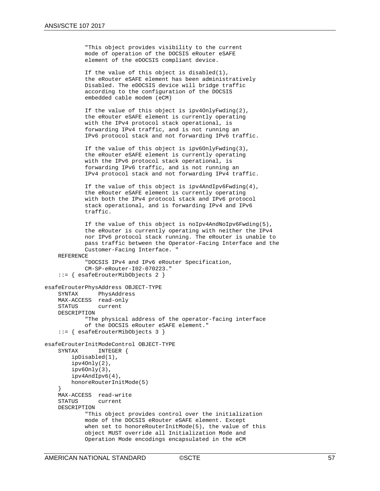```
 "This object provides visibility to the current
 mode of operation of the DOCSIS eRouter eSAFE
 element of the eDOCSIS compliant device.
```
 If the value of this object is disabled(1), the eRouter eSAFE element has been administratively Disabled. The eDOCSIS device will bridge traffic according to the configuration of the DOCSIS embedded cable modem (eCM)

 If the value of this object is ipv4OnlyFwding(2), the eRouter eSAFE element is currently operating with the IPv4 protocol stack operational, is forwarding IPv4 traffic, and is not running an IPv6 protocol stack and not forwarding IPv6 traffic.

 If the value of this object is ipv6OnlyFwding(3), the eRouter eSAFE element is currently operating with the IPv6 protocol stack operational, is forwarding IPv6 traffic, and is not running an IPv4 protocol stack and not forwarding IPv4 traffic.

 If the value of this object is ipv4AndIpv6Fwding(4), the eRouter eSAFE element is currently operating with both the IPv4 protocol stack and IPv6 protocol stack operational, and is forwarding IPv4 and IPv6 traffic.

```
 If the value of this object is noIpv4AndNoIpv6Fwding(5),
 the eRouter is currently operating with neither the IPv4
 nor IPv6 protocol stack running. The eRouter is unable to
 pass traffic between the Operator-Facing Interface and the
 Customer-Facing Interface. "
```

```
 REFERENCE
```

```
 "DOCSIS IPv4 and IPv6 eRouter Specification,
         CM-SP-eRouter-I02-070223."
 ::= { esafeErouterMibObjects 2 }
```

```
esafeErouterPhysAddress OBJECT-TYPE
                PhysAddress
    MAX-ACCESS read-only<br>STATUS current
                 current
     DESCRIPTION
              "The physical address of the operator-facing interface
              of the DOCSIS eRouter eSAFE element."
     ::= { esafeErouterMibObjects 3 }
esafeErouterInitModeControl OBJECT-TYPE<br>SYNTAX TNTEGER {
                 INTEGER {
         ipDisabled(1),
          ipv4Only(2),
          ipv6Only(3),
          ipv4AndIpv6(4),
         honoreRouterInitMode(5)
 }
    MAX-ACCESS read-write<br>STATUS current
                 current.
     DESCRIPTION
              "This object provides control over the initialization 
              mode of the DOCSIS eRouter eSAFE element. Except
              when set to honoreRouterInitMode(5), the value of this 
              object MUST override all Initialization Mode and 
              Operation Mode encodings encapsulated in the eCM
```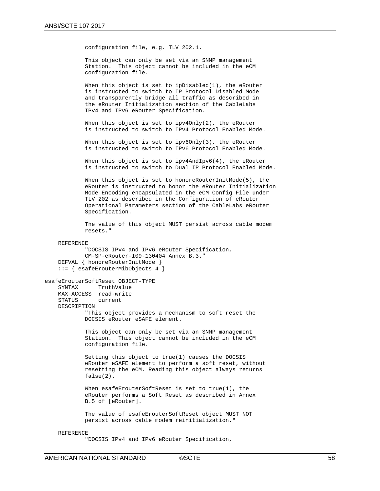configuration file, e.g. TLV 202.1.

 This object can only be set via an SNMP management Station. This object cannot be included in the eCM configuration file.

 When this object is set to ipDisabled(1), the eRouter is instructed to switch to IP Protocol Disabled Mode and transparently bridge all traffic as described in the eRouter Initialization section of the CableLabs IPv4 and IPv6 eRouter Specification.

When this object is set to  $ipv40nly(2)$ , the eRouter is instructed to switch to IPv4 Protocol Enabled Mode.

When this object is set to  $ipv60nly(3)$ , the eRouter is instructed to switch to IPv6 Protocol Enabled Mode.

When this object is set to ipv4AndIpv6(4), the eRouter is instructed to switch to Dual IP Protocol Enabled Mode.

When this object is set to honoreRouterInitMode(5), the eRouter is instructed to honor the eRouter Initialization Mode Encoding encapsulated in the eCM Config File under TLV 202 as described in the Configuration of eRouter Operational Parameters section of the CableLabs eRouter Specification.

 The value of this object MUST persist across cable modem resets."

#### REFERENCE

```
 "DOCSIS IPv4 and IPv6 eRouter Specification,
             CM-SP-eRouter-I09-130404 Annex B.3."
     DEFVAL { honoreRouterInitMode }
     ::= { esafeErouterMibObjects 4 }
esafeErouterSoftReset OBJECT-TYPE<br>SYNTAX TruthValue
                TruthValue
     MAX-ACCESS read-write
                current
     DESCRIPTION
             "This object provides a mechanism to soft reset the 
             DOCSIS eRouter eSAFE element.
             This object can only be set via an SNMP management
             Station. This object cannot be included in the eCM
             configuration file.
             Setting this object to true(1) causes the DOCSIS 
             eRouter eSAFE element to perform a soft reset, without
             resetting the eCM. Reading this object always returns
             false(2).
             When esafeErouterSoftReset is set to true(1), the 
             eRouter performs a Soft Reset as described in Annex
             B.5 of [eRouter].
             The value of esafeErouterSoftReset object MUST NOT 
             persist across cable modem reinitialization."
```
#### REFERENCE

"DOCSIS IPv4 and IPv6 eRouter Specification,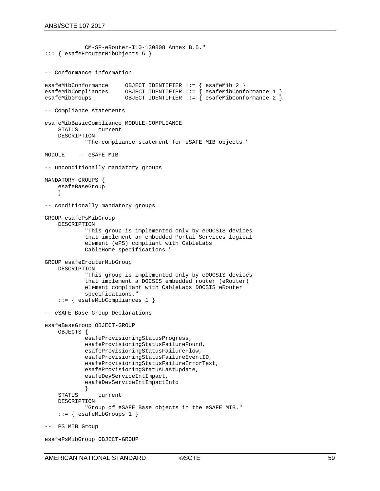```
 CM-SP-eRouter-I10-130808 Annex B.5."
::= { esafeErouterMibObjects 5 }
-- Conformance information 
esafeMibConformance OBJECT IDENTIFIER ::= { esafeMib 2 }
esafeMibCompliances OBJECT IDENTIFIER ::= { esafeMibConformance 1 }
                        OBJECT IDENTIFIER ::= { esafeMibConformance 2 }
-- Compliance statements
esafeMibBasicCompliance MODULE-COMPLIANCE
               current
     DESCRIPTION
             "The compliance statement for eSAFE MIB objects."
MODULE -- eSAFE-MIB
-- unconditionally mandatory groups
MANDATORY-GROUPS {
     esafeBaseGroup
 }
-- conditionally mandatory groups
GROUP esafePsMibGroup
    DESCRIPTION
             "This group is implemented only by eDOCSIS devices
             that implement an embedded Portal Services logical 
             element (ePS) compliant with CableLabs
             CableHome specifications."
GROUP esafeErouterMibGroup
    DESCRIPTION
             "This group is implemented only by eDOCSIS devices
             that implement a DOCSIS embedded router (eRouter)
             element compliant with CableLabs DOCSIS eRouter
             specifications."
     ::= { esafeMibCompliances 1 }
-- eSAFE Base Group Declarations
esafeBaseGroup OBJECT-GROUP
     OBJECTS {
             esafeProvisioningStatusProgress,
             esafeProvisioningStatusFailureFound,
             esafeProvisioningStatusFailureFlow,
             esafeProvisioningStatusFailureEventID,
             esafeProvisioningStatusFailureErrorText,
             esafeProvisioningStatusLastUpdate,
             esafeDevServiceIntImpact,
             esafeDevServiceIntImpactInfo
    STATUS
                current
     DESCRIPTION
             "Group of eSAFE Base objects in the eSAFE MIB."
    ::= { esafeMibGroups 1 }
-- PS MIB Group
```

```
esafePsMibGroup OBJECT-GROUP
```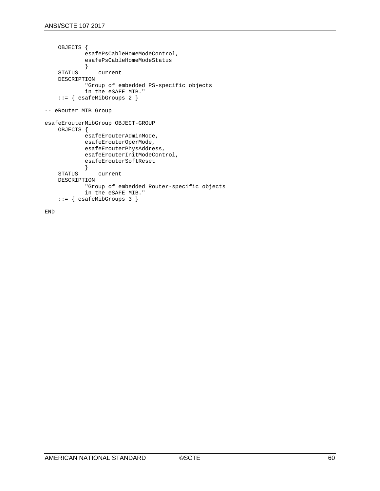```
 OBJECTS {
             esafePsCableHomeModeControl,
             esafePsCableHomeModeStatus
    {<br>STATUS
                current
     DESCRIPTION
              "Group of embedded PS-specific objects
             in the eSAFE MIB."
     ::= { esafeMibGroups 2 }
-- eRouter MIB Group
esafeErouterMibGroup OBJECT-GROUP
     OBJECTS {
             esafeErouterAdminMode,
             esafeErouterOperMode,
             esafeErouterPhysAddress,
             esafeErouterInitModeControl,
             esafeErouterSoftReset
    {<br>STATUS
                current
     DESCRIPTION
              "Group of embedded Router-specific objects
             in the eSAFE MIB."
     ::= { esafeMibGroups 3 }
```
END